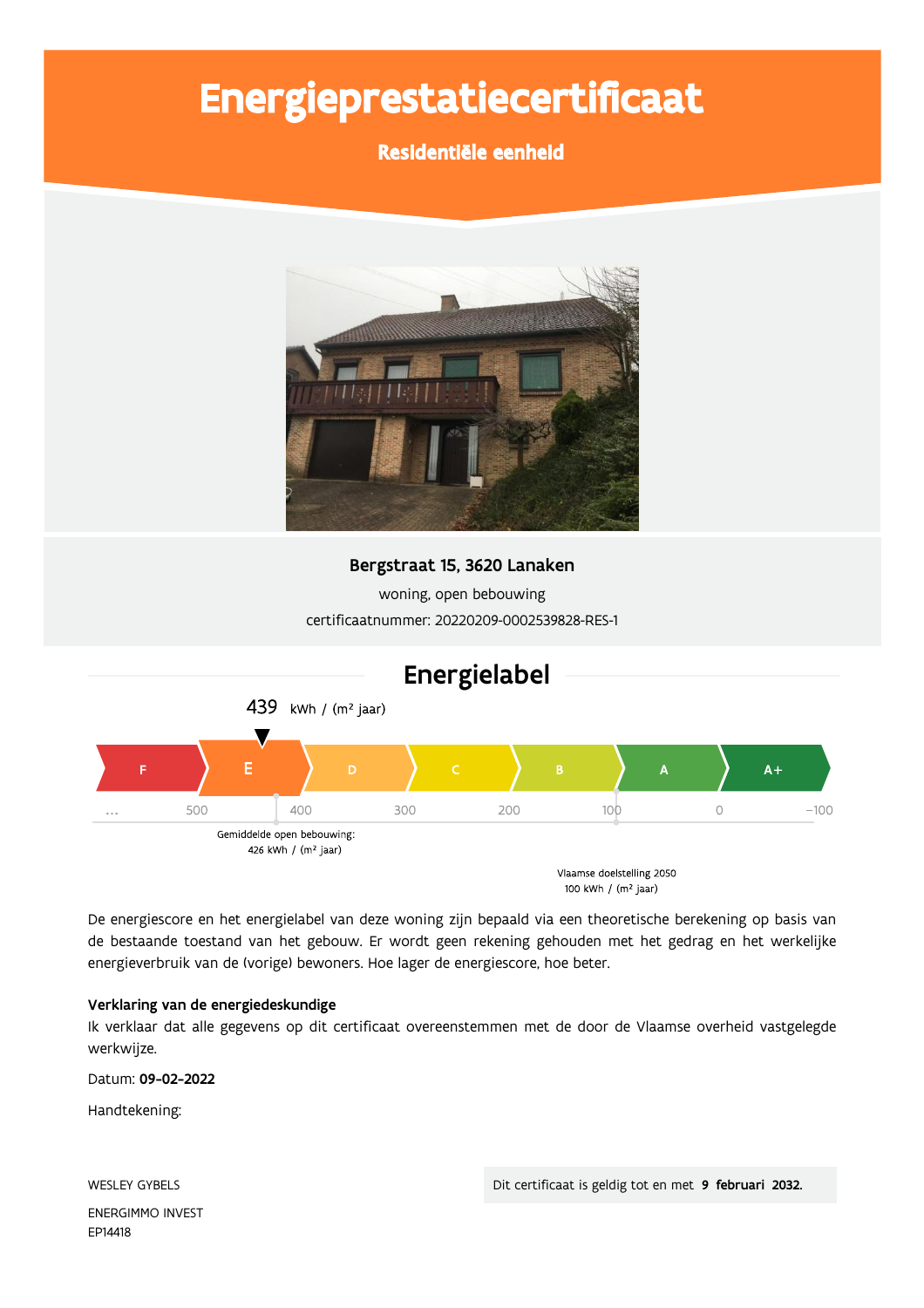# Energieprestatiecertificaat

### Residentiële eenheid



#### Bergstraat 15, 3620 Lanaken

woning, open bebouwing certificaatnummer: 20220209-0002539828-RES-1



De energiescore en het energielabel van deze woning zijn bepaald via een theoretische berekening op basis van de bestaande toestand van het gebouw. Er wordt geen rekening gehouden met het gedrag en het werkelijke energieverbruik van de (vorige) bewoners. Hoe lager de energiescore, hoe beter.

#### Verklaring van de energiedeskundige

Ik verklaar dat alle gegevens op dit certificaat overeenstemmen met de door de Vlaamse overheid vastgelegde werkwijze.

Datum: 09-02-2022

Handtekening:

**WESLEY GYBELS** ENERGIMMO INVEST EP14418

Dit certificaat is geldig tot en met 9 februari 2032.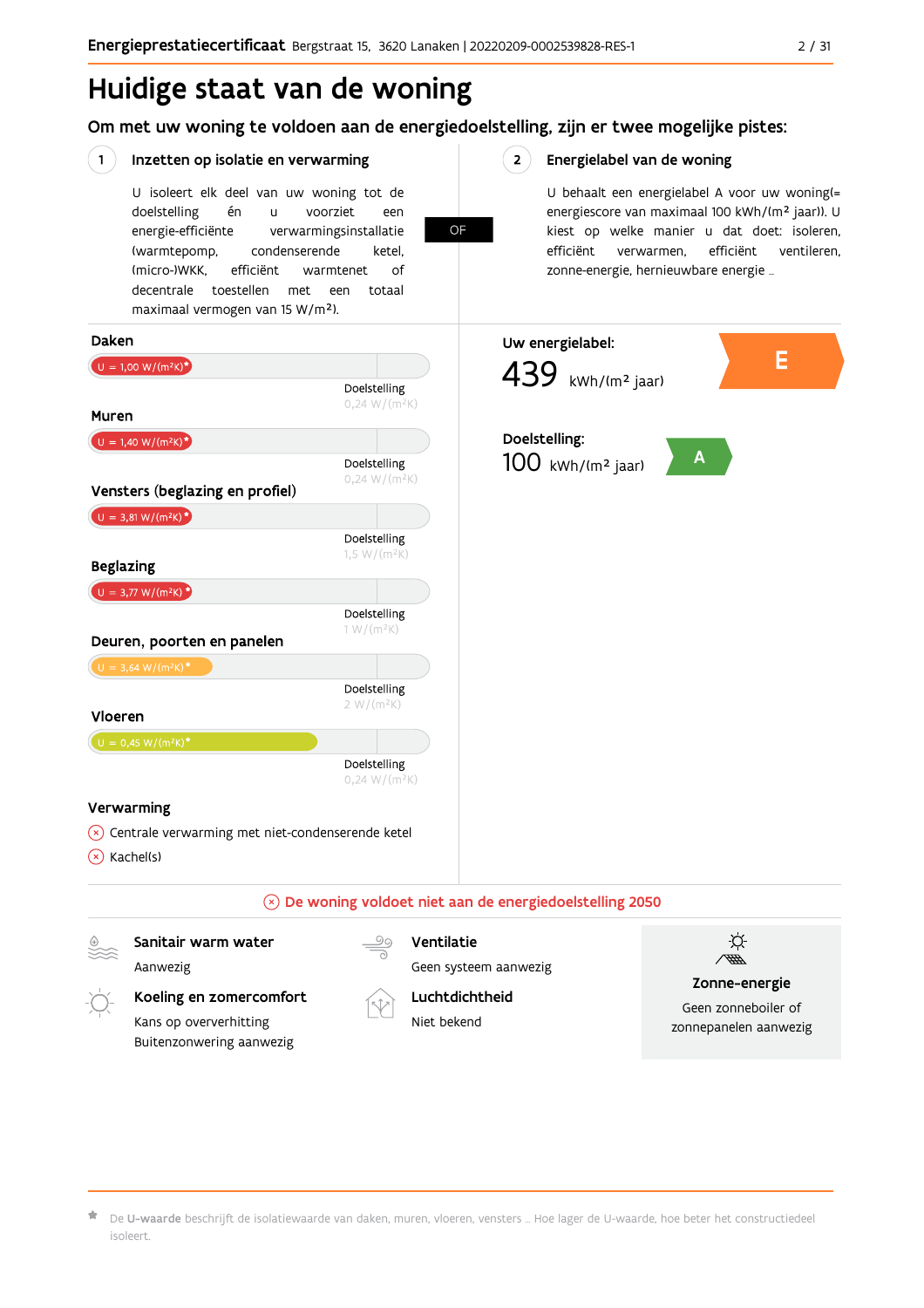# Huidige staat van de woning

Om met uw woning te voldoen aan de energiedoelstelling, zijn er twee mogelijke pistes:

**OF** 

#### $(1)$ Inzetten op isolatie en verwarming

U isoleert elk deel van uw woning tot de voorziet doelstelling én  $\mathbf{u}$ een energie-efficiënte verwarmingsinstallatie (warmtepomp, condenserende ketel. (micro-)WKK. efficiënt warmtenet  $\bigcap_{ }$ decentrale toestellen met een totaal maximaal vermogen van 15 W/m<sup>2</sup>).

 $2^{\circ}$ Energielabel van de woning

> U behaalt een energielabel A voor uw woning(= energiescore van maximaal 100 kWh/(m<sup>2</sup> jaar)). U kiest op welke manier u dat doet: isoleren, efficiënt efficiënt ventileren, verwarmen, zonne-energie, hernieuwbare energie ...



De U-waarde beschrijft de isolatiewaarde van daken, muren, vloeren, vensters ... Hoe lager de U-waarde, hoe beter het constructiedeel isoleert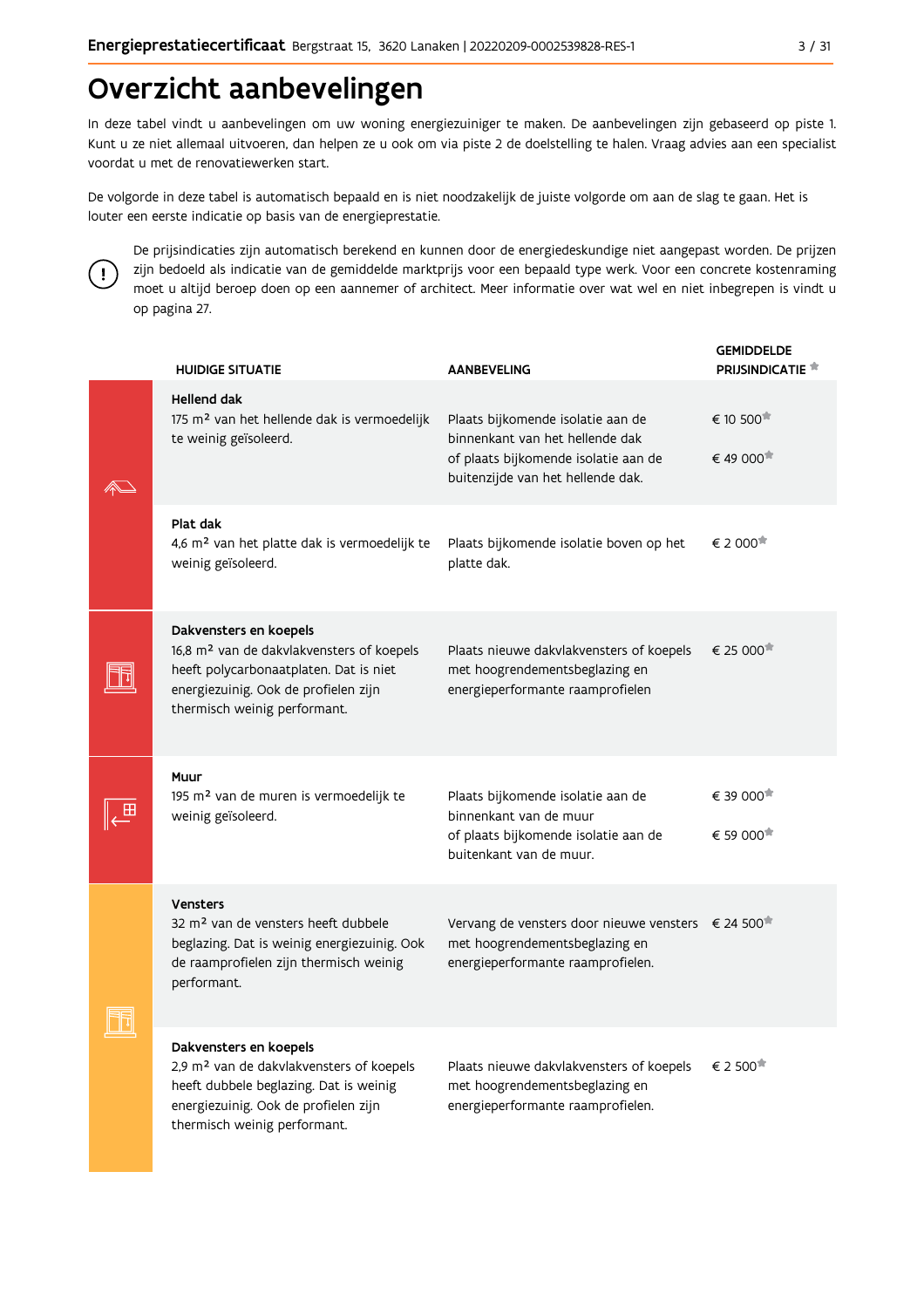# Overzicht aanbevelingen

In deze tabel vindt u aanbevelingen om uw woning energiezuiniger te maken. De aanbevelingen zijn gebaseerd op piste 1. Kunt u ze niet allemaal uitvoeren, dan helpen ze u ook om via piste 2 de doelstelling te halen. Vraag advies aan een specialist voordat u met de renovatiewerken start.

De volgorde in deze tabel is automatisch bepaald en is niet noodzakelijk de juiste volgorde om aan de slag te gaan. Het is louter een eerste indicatie op basis van de energieprestatie.



De prijsindicaties zijn automatisch berekend en kunnen door de energiedeskundige niet aangepast worden. De prijzen zijn bedoeld als indicatie van de gemiddelde marktprijs voor een bepaald type werk. Voor een concrete kostenraming moet u altijd beroep doen op een aannemer of architect. Meer informatie over wat wel en niet inbegrepen is vindt u op pagina 27.

| <b>HUIDIGE SITUATIE</b>                                                                                                                                                                           | <b>AANBEVELING</b>                                                                                                                                | <b>GEMIDDELDE</b><br><b>PRIJSINDICATIE</b> |
|---------------------------------------------------------------------------------------------------------------------------------------------------------------------------------------------------|---------------------------------------------------------------------------------------------------------------------------------------------------|--------------------------------------------|
| <b>Hellend dak</b><br>175 m <sup>2</sup> van het hellende dak is vermoedelijk<br>te weinig geïsoleerd.                                                                                            | Plaats bijkomende isolatie aan de<br>binnenkant van het hellende dak<br>of plaats bijkomende isolatie aan de<br>buitenzijde van het hellende dak. | € 10 500<br>€ 49 000                       |
| Plat dak<br>4,6 m <sup>2</sup> van het platte dak is vermoedelijk te<br>weinig geïsoleerd.                                                                                                        | Plaats bijkomende isolatie boven op het<br>platte dak.                                                                                            | € 2 000 <sup>★</sup>                       |
| Dakvensters en koepels<br>16,8 m <sup>2</sup> van de dakvlakvensters of koepels<br>heeft polycarbonaatplaten. Dat is niet<br>energiezuinig. Ook de profielen zijn<br>thermisch weinig performant. | Plaats nieuwe dakvlakvensters of koepels<br>met hoogrendementsbeglazing en<br>energieperformante raamprofielen                                    | $\epsilon$ 25 000 <sup>**</sup>            |
| Muur<br>195 m <sup>2</sup> van de muren is vermoedelijk te<br>weinig geïsoleerd.                                                                                                                  | Plaats bijkomende isolatie aan de<br>binnenkant van de muur<br>of plaats bijkomende isolatie aan de<br>buitenkant van de muur.                    | € 39 000<br>€ 59 000 <sup>★</sup>          |
| <b>Vensters</b><br>32 m <sup>2</sup> van de vensters heeft dubbele<br>beglazing. Dat is weinig energiezuinig. Ook<br>de raamprofielen zijn thermisch weinig<br>performant.                        | Vervang de vensters door nieuwe vensters € 24 500 <sup>*</sup><br>met hoogrendementsbeglazing en<br>energieperformante raamprofielen.             |                                            |
| Dakvensters en koepels<br>2,9 m <sup>2</sup> van de dakvlakvensters of koepels<br>heeft dubbele beglazing. Dat is weinig<br>energiezuinig. Ook de profielen zijn<br>thermisch weinig performant.  | Plaats nieuwe dakvlakvensters of koepels<br>met hoogrendementsbeglazing en<br>energieperformante raamprofielen.                                   | € 2 500                                    |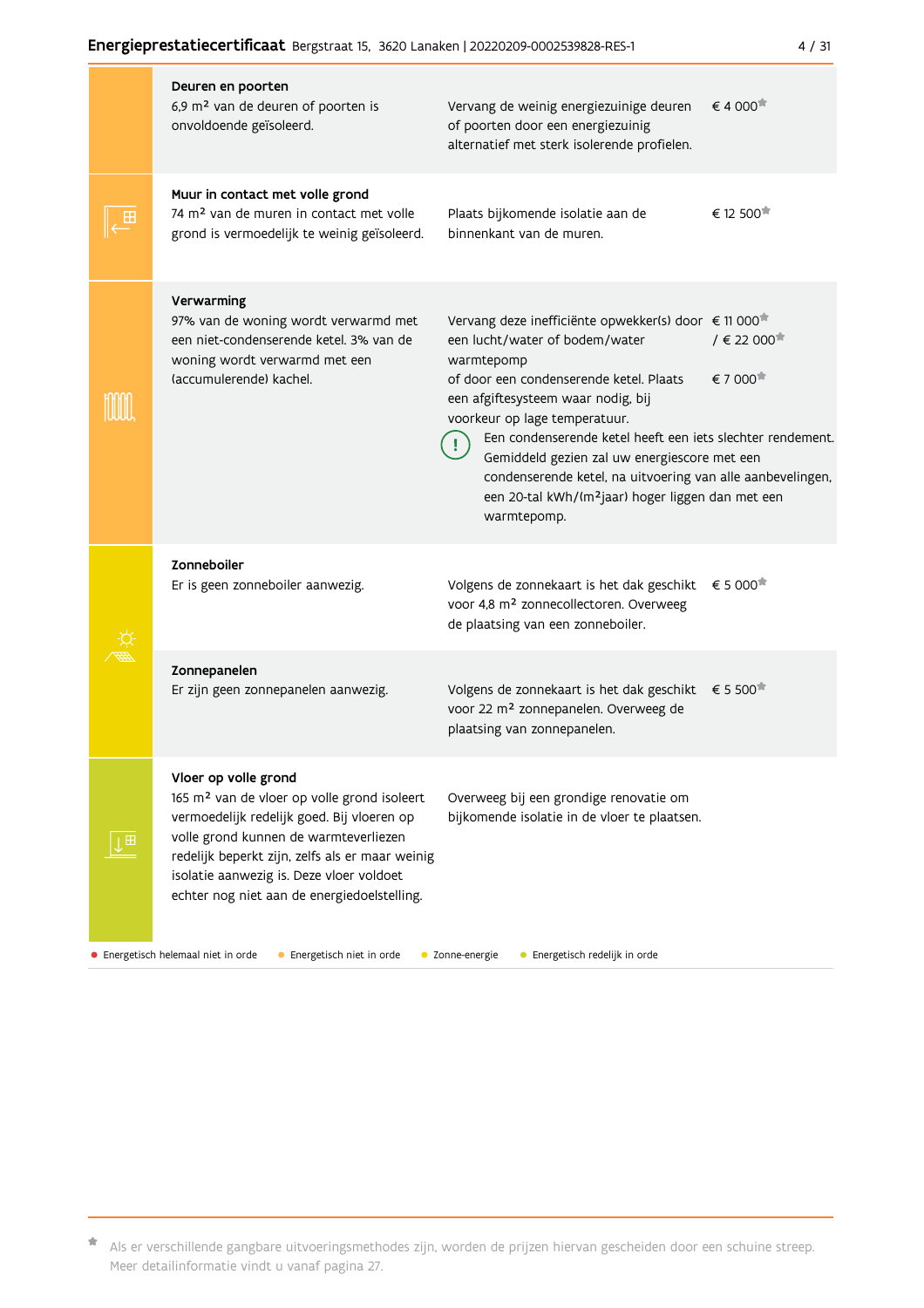|   | Deuren en poorten<br>6,9 m <sup>2</sup> van de deuren of poorten is<br>onvoldoende geïsoleerd.                                                                                                                                                                                                                       | Vervang de weinig energiezuinige deuren<br>of poorten door een energiezuinig<br>alternatief met sterk isolerende profielen.                                                                                                                                                                                                                                                                                                                                                                  | € 4 000 <sup><math>#</math></sup> |
|---|----------------------------------------------------------------------------------------------------------------------------------------------------------------------------------------------------------------------------------------------------------------------------------------------------------------------|----------------------------------------------------------------------------------------------------------------------------------------------------------------------------------------------------------------------------------------------------------------------------------------------------------------------------------------------------------------------------------------------------------------------------------------------------------------------------------------------|-----------------------------------|
|   | Muur in contact met volle grond<br>74 m <sup>2</sup> van de muren in contact met volle<br>grond is vermoedelijk te weinig geïsoleerd.                                                                                                                                                                                | Plaats bijkomende isolatie aan de<br>binnenkant van de muren.                                                                                                                                                                                                                                                                                                                                                                                                                                | € 12 500                          |
|   | Verwarming<br>97% van de woning wordt verwarmd met<br>een niet-condenserende ketel. 3% van de<br>woning wordt verwarmd met een<br>(accumulerende) kachel.                                                                                                                                                            | Vervang deze inefficiënte opwekker(s) door € 11 000 <sup>*</sup><br>een lucht/water of bodem/water<br>warmtepomp<br>of door een condenserende ketel. Plaats<br>een afgiftesysteem waar nodig, bij<br>voorkeur op lage temperatuur.<br>Een condenserende ketel heeft een iets slechter rendement<br>Gemiddeld gezien zal uw energiescore met een<br>condenserende ketel, na uitvoering van alle aanbevelingen<br>een 20-tal kWh/(m <sup>2</sup> jaar) hoger liggen dan met een<br>warmtepomp. | $/ \in 22000$<br>€ 7 000          |
|   | Zonneboiler<br>Er is geen zonneboiler aanwezig.                                                                                                                                                                                                                                                                      | Volgens de zonnekaart is het dak geschikt<br>voor 4,8 m <sup>2</sup> zonnecollectoren. Overweeg<br>de plaatsing van een zonneboiler.                                                                                                                                                                                                                                                                                                                                                         | € 5 000                           |
|   | Zonnepanelen<br>Er zijn geen zonnepanelen aanwezig.                                                                                                                                                                                                                                                                  | Volgens de zonnekaart is het dak geschikt<br>voor 22 m <sup>2</sup> zonnepanelen. Overweeg de<br>plaatsing van zonnepanelen.                                                                                                                                                                                                                                                                                                                                                                 | € 5 500                           |
| 田 | Vloer op volle grond<br>165 m <sup>2</sup> van de vloer op volle grond isoleert<br>vermoedelijk redelijk goed. Bij vloeren op<br>volle grond kunnen de warmteverliezen<br>redelijk beperkt zijn, zelfs als er maar weinig<br>isolatie aanwezig is. Deze vloer voldoet<br>echter nog niet aan de energiedoelstelling. | Overweeg bij een grondige renovatie om<br>bijkomende isolatie in de vloer te plaatsen.                                                                                                                                                                                                                                                                                                                                                                                                       |                                   |

· Energetisch helemaal niet in orde

• Energetisch niet in orde • Zonne-energie

· Energetisch redelijk in orde

\* Als er verschillende gangbare uitvoeringsmethodes zijn, worden de prijzen hiervan gescheiden door een schuine streep. Meer detailinformatie vindt u vanaf pagina 27.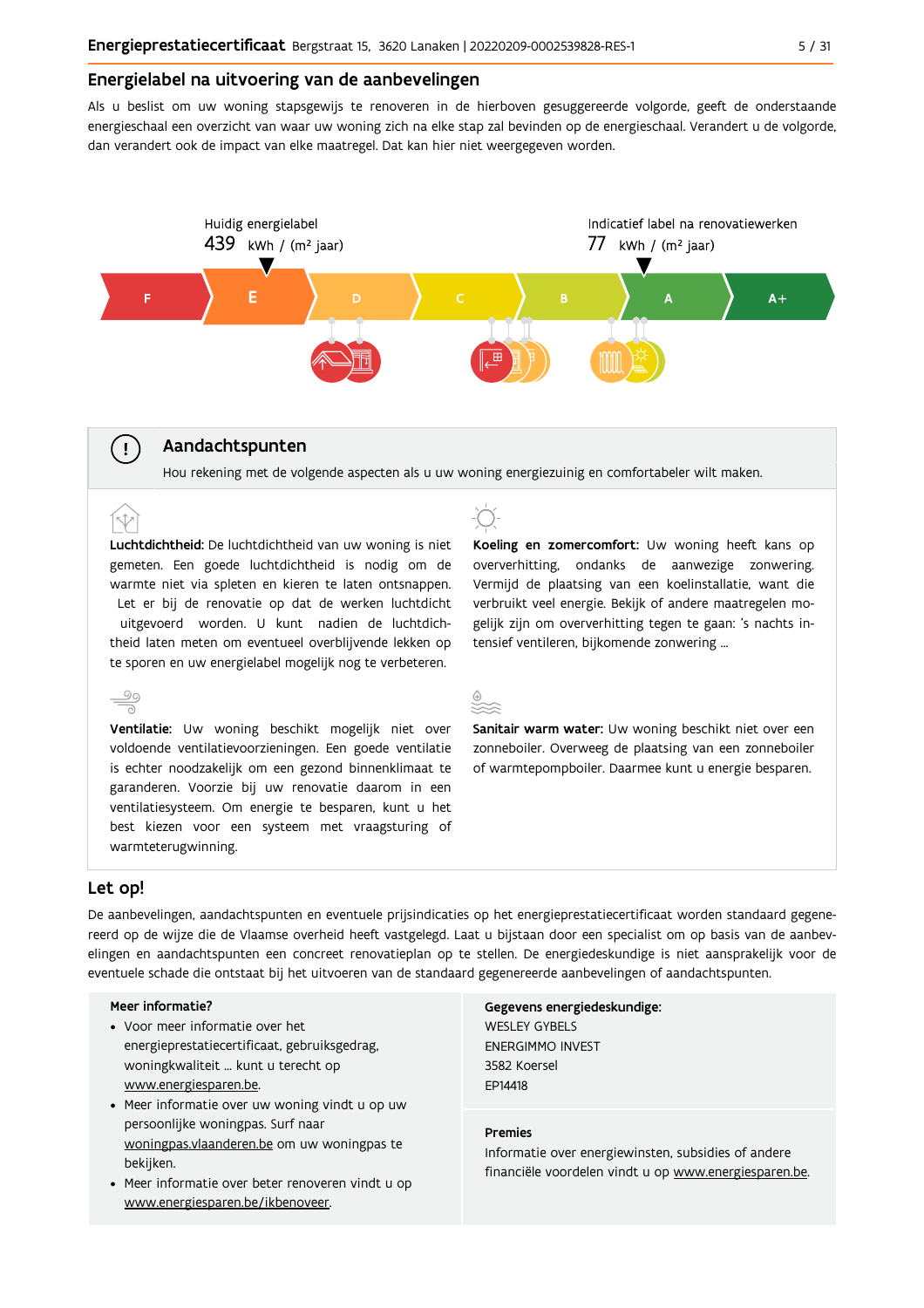#### Energielabel na uitvoering van de aanbevelingen

Als u beslist om uw woning stapsgewijs te renoveren in de hierboven gesuggereerde volgorde, geeft de onderstaande energieschaal een overzicht van waar uw woning zich na elke stap zal bevinden op de energieschaal. Verandert u de volgorde, dan verandert ook de impact van elke maatregel. Dat kan hier niet weergegeven worden.



#### Aandachtspunten

Hou rekening met de volgende aspecten als u uw woning energiezuinig en comfortabeler wilt maken.

Luchtdichtheid: De luchtdichtheid van uw woning is niet gemeten. Een goede luchtdichtheid is nodig om de warmte niet via spleten en kieren te laten ontsnappen. Let er bij de renovatie op dat de werken luchtdicht uitgevoerd worden. U kunt nadien de luchtdichtheid laten meten om eventueel overblijvende lekken op te sporen en uw energielabel mogelijk nog te verbeteren.



 $(\bot)$ 

(r.t

Ventilatie: Uw woning beschikt mogelijk niet over voldoende ventilatievoorzieningen. Een goede ventilatie is echter noodzakelijk om een gezond binnenklimaat te garanderen. Voorzie bij uw renovatie daarom in een ventilatiesysteem. Om energie te besparen, kunt u het best kiezen voor een systeem met vraagsturing of warmteterugwinning.



Koeling en zomercomfort: Uw woning heeft kans op oververhitting, ondanks de aanwezige zonwering. Vermijd de plaatsing van een koelinstallatie, want die verbruikt veel energie. Bekijk of andere maatregelen mogelijk zijn om oververhitting tegen te gaan: 's nachts intensief ventileren, bijkomende zonwering ...

Sanitair warm water: Uw woning beschikt niet over een zonneboiler. Overweeg de plaatsing van een zonneboiler of warmtepompboiler. Daarmee kunt u energie besparen.

#### Let op!

De aanbevelingen, aandachtspunten en eventuele prijsindicaties op het energieprestatiecertificaat worden standaard gegenereerd op de wijze die de Vlaamse overheid heeft vastgelegd. Laat u bijstaan door een specialist om op basis van de aanbevelingen en aandachtspunten een concreet renovatieplan op te stellen. De energiedeskundige is niet aansprakelijk voor de eventuele schade die ontstaat bij het uitvoeren van de standaard gegenereerde aanbevelingen of aandachtspunten.

#### Meer informatie?

- Voor meer informatie over het energieprestatiecertificaat, gebruiksgedrag, woningkwaliteit ... kunt u terecht op www.energiesparen.be.
- Meer informatie over uw woning vindt u op uw persoonlijke woningpas. Surf naar woningpas.vlaanderen.be om uw woningpas te bekijken.
- Meer informatie over beter renoveren vindt u op www.energiesparen.be/ikbenoveer.

Gegevens energiedeskundige: **WESLEY GYBELS ENERGIMMO INVEST** 3582 Koersel EP14418

#### **Premies**

Informatie over energiewinsten, subsidies of andere financiële voordelen vindt u op www.energiesparen.be.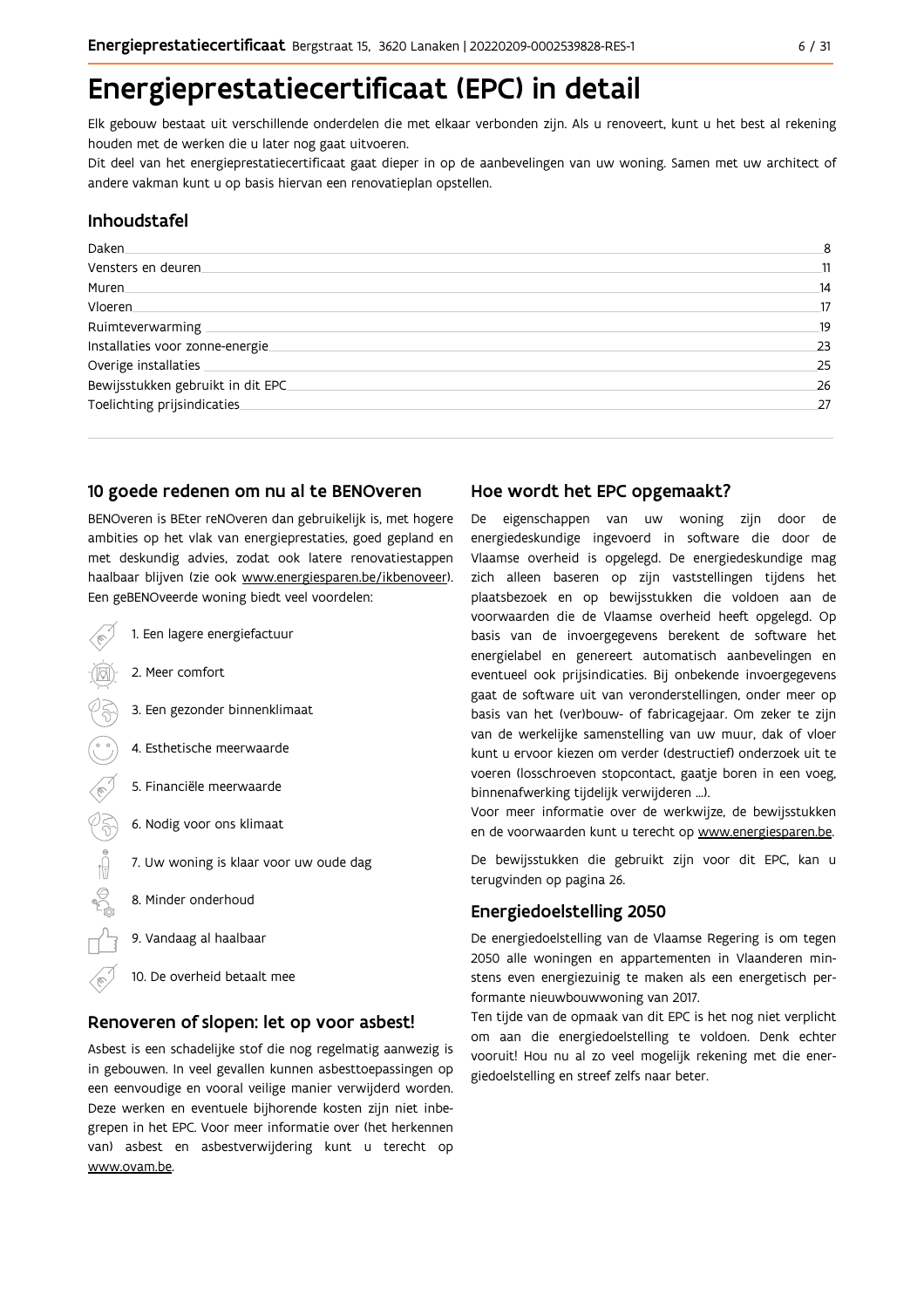# Energieprestatiecertificaat (EPC) in detail

Elk gebouw bestaat uit verschillende onderdelen die met elkaar verbonden zijn. Als u renoveert, kunt u het best al rekening houden met de werken die u later nog gaat uitvoeren.

Dit deel van het energieprestatiecertificaat gaat dieper in op de aanbevelingen van uw woning. Samen met uw architect of andere vakman kunt u op basis hiervan een renovatieplan opstellen.

#### Inhoudstafel

| Daken.                            | 8  |
|-----------------------------------|----|
| Vensters en deuren                | 11 |
| Muren                             | 14 |
| <b>Vloeren</b>                    | 17 |
| Ruimteverwarming                  | 19 |
| Installaties voor zonne-energie.  | 23 |
| Overige installaties              | 25 |
| Bewijsstukken gebruikt in dit EPC | 26 |
| Toelichting prijsindicaties       | 27 |
|                                   |    |

#### 10 goede redenen om nu al te BENOveren

BENOveren is BEter reNOveren dan gebruikelijk is, met hogere ambities op het vlak van energieprestaties, goed gepland en met deskundig advies, zodat ook latere renovatiestappen haalbaar blijven (zie ook www.energiesparen.be/ikbenoveer). Een geBENOveerde woning biedt veel voordelen:

- 1. Een lagere energiefactuur 2. Meer comfort 3. Een gezonder binnenklimaat 4. Esthetische meerwaarde 5. Financiële meerwaarde  $\sqrt{3}$ 6. Nodig voor ons klimaat  $\begin{picture}(150,10) \put(0,0){\line(1,0){10}} \put(15,0){\line(1,0){10}} \put(15,0){\line(1,0){10}} \put(15,0){\line(1,0){10}} \put(15,0){\line(1,0){10}} \put(15,0){\line(1,0){10}} \put(15,0){\line(1,0){10}} \put(15,0){\line(1,0){10}} \put(15,0){\line(1,0){10}} \put(15,0){\line(1,0){10}} \put(15,0){\line(1,0){10}} \put(15,0){\line($ 7. Uw woning is klaar voor uw oude dag 8. Minder onderhoud
	- 9. Vandaag al haalbaar
	- 10. De overheid betaalt mee

#### Renoveren of slopen: let op voor asbest!

Asbest is een schadelijke stof die nog regelmatig aanwezig is in gebouwen. In veel gevallen kunnen asbesttoepassingen op een eenvoudige en vooral veilige manier verwijderd worden. Deze werken en eventuele bijhorende kosten zijn niet inbegrepen in het EPC. Voor meer informatie over (het herkennen van) asbest en asbestverwijdering kunt u terecht op www.ovam.be.

### Hoe wordt het EPC opgemaakt?

De eigenschappen van uw woning zijn door de energiedeskundige ingevoerd in software die door de Vlaamse overheid is opgelegd. De energiedeskundige mag zich alleen baseren op zijn vaststellingen tijdens het plaatsbezoek en op bewijsstukken die voldoen aan de voorwaarden die de Vlaamse overheid heeft opgelegd. Op basis van de invoergegevens berekent de software het energielabel en genereert automatisch aanbevelingen en eventueel ook prijsindicaties. Bij onbekende invoergegevens gaat de software uit van veronderstellingen, onder meer op basis van het (ver)bouw- of fabricagejaar. Om zeker te zijn van de werkelijke samenstelling van uw muur, dak of vloer kunt u ervoor kiezen om verder (destructief) onderzoek uit te voeren (losschroeven stopcontact, gaatje boren in een voeg, binnenafwerking tijdelijk verwijderen ...).

Voor meer informatie over de werkwijze, de bewijsstukken en de voorwaarden kunt u terecht op www.energiesparen.be.

De bewijsstukken die gebruikt zijn voor dit EPC, kan u terugvinden op pagina 26.

### **Energiedoelstelling 2050**

De energiedoelstelling van de Vlaamse Regering is om tegen 2050 alle woningen en appartementen in Vlaanderen minstens even energiezuinig te maken als een energetisch performante nieuwbouwwoning van 2017.

Ten tijde van de opmaak van dit EPC is het nog niet verplicht om aan die energiedoelstelling te voldoen. Denk echter vooruit! Hou nu al zo veel mogelijk rekening met die energiedoelstelling en streef zelfs naar beter.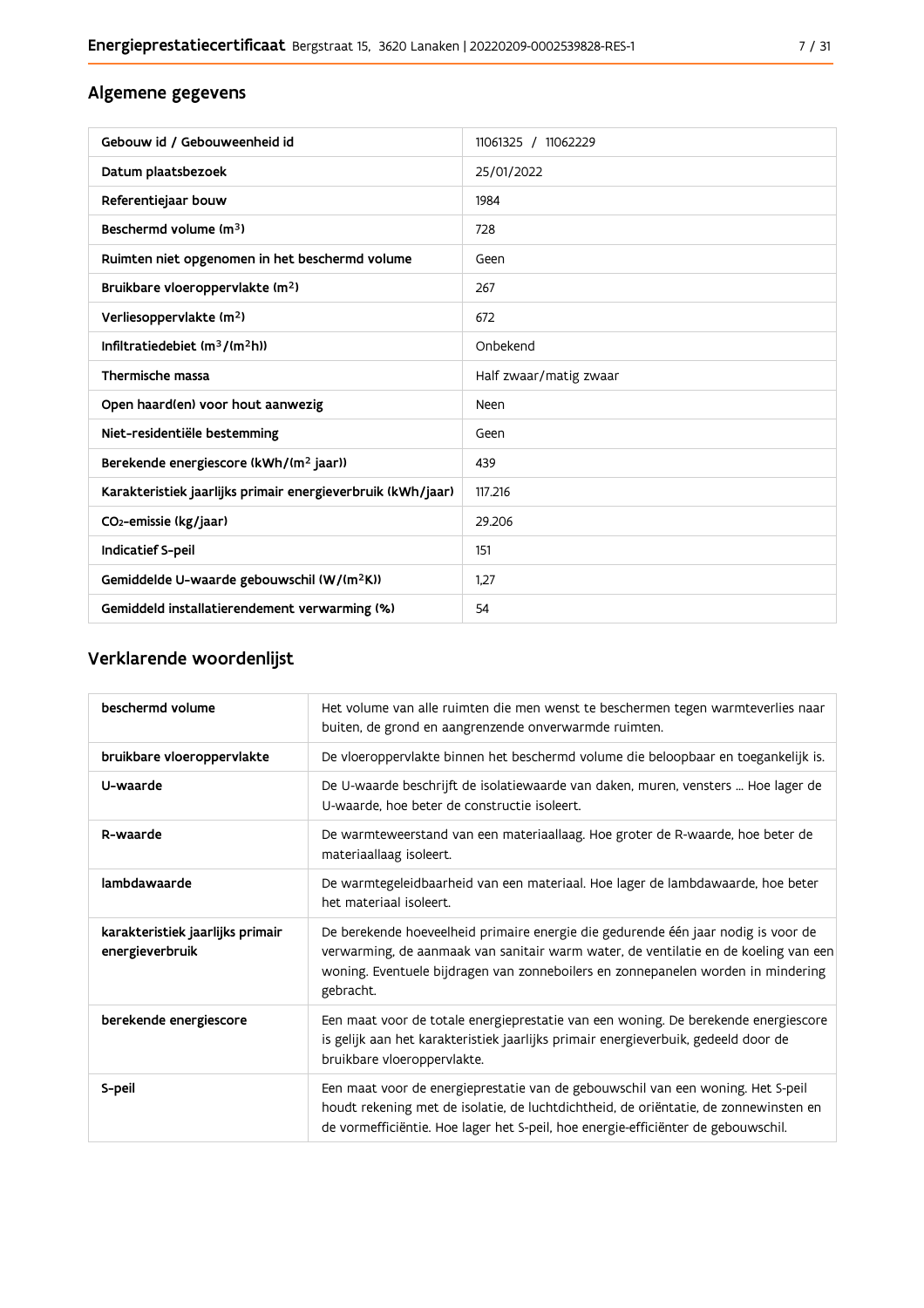## Algemene gegevens

| Gebouw id / Gebouweenheid id                                | 11061325 / 11062229    |
|-------------------------------------------------------------|------------------------|
| Datum plaatsbezoek                                          | 25/01/2022             |
| Referentiejaar bouw                                         | 1984                   |
| Beschermd volume (m <sup>3</sup> )                          | 728                    |
| Ruimten niet opgenomen in het beschermd volume              | Geen                   |
| Bruikbare vloeroppervlakte (m <sup>2</sup> )                | 267                    |
| Verliesoppervlakte (m <sup>2</sup> )                        | 672                    |
| Infiltratiedebiet (m <sup>3</sup> /(m <sup>2</sup> h))      | Onbekend               |
| Thermische massa                                            | Half zwaar/matig zwaar |
| Open haard(en) voor hout aanwezig                           | Neen                   |
| Niet-residentiële bestemming                                | Geen                   |
| Berekende energiescore (kWh/(m <sup>2</sup> jaar))          | 439                    |
| Karakteristiek jaarlijks primair energieverbruik (kWh/jaar) | 117.216                |
| CO <sub>2</sub> -emissie (kg/jaar)                          | 29.206                 |
| Indicatief S-peil                                           | 151                    |
| Gemiddelde U-waarde gebouwschil (W/(m <sup>2</sup> K))      | 1.27                   |
| Gemiddeld installatierendement verwarming (%)               | 54                     |

## Verklarende woordenlijst

| beschermd volume                                    | Het volume van alle ruimten die men wenst te beschermen tegen warmteverlies naar<br>buiten, de grond en aangrenzende onverwarmde ruimten.                                                                                                                                 |
|-----------------------------------------------------|---------------------------------------------------------------------------------------------------------------------------------------------------------------------------------------------------------------------------------------------------------------------------|
| bruikbare vloeroppervlakte                          | De vloeroppervlakte binnen het beschermd volume die beloopbaar en toegankelijk is.                                                                                                                                                                                        |
| U-waarde                                            | De U-waarde beschrijft de isolatiewaarde van daken, muren, vensters  Hoe lager de<br>U-waarde, hoe beter de constructie isoleert.                                                                                                                                         |
| R-waarde                                            | De warmteweerstand van een materiaallaag. Hoe groter de R-waarde, hoe beter de<br>materiaallaag isoleert.                                                                                                                                                                 |
| lambdawaarde                                        | De warmtegeleidbaarheid van een materiaal. Hoe lager de lambdawaarde, hoe beter<br>het materiaal isoleert.                                                                                                                                                                |
| karakteristiek jaarlijks primair<br>energieverbruik | De berekende hoeveelheid primaire energie die gedurende één jaar nodig is voor de<br>verwarming, de aanmaak van sanitair warm water, de ventilatie en de koeling van een<br>woning. Eventuele bijdragen van zonneboilers en zonnepanelen worden in mindering<br>gebracht. |
| berekende energiescore                              | Een maat voor de totale energieprestatie van een woning. De berekende energiescore<br>is gelijk aan het karakteristiek jaarlijks primair energieverbuik, gedeeld door de<br>bruikbare vloeroppervlakte.                                                                   |
| S-peil                                              | Een maat voor de energieprestatie van de gebouwschil van een woning. Het S-peil<br>houdt rekening met de isolatie, de luchtdichtheid, de oriëntatie, de zonnewinsten en<br>de vormefficiëntie. Hoe lager het S-peil, hoe energie-efficiënter de gebouwschil.              |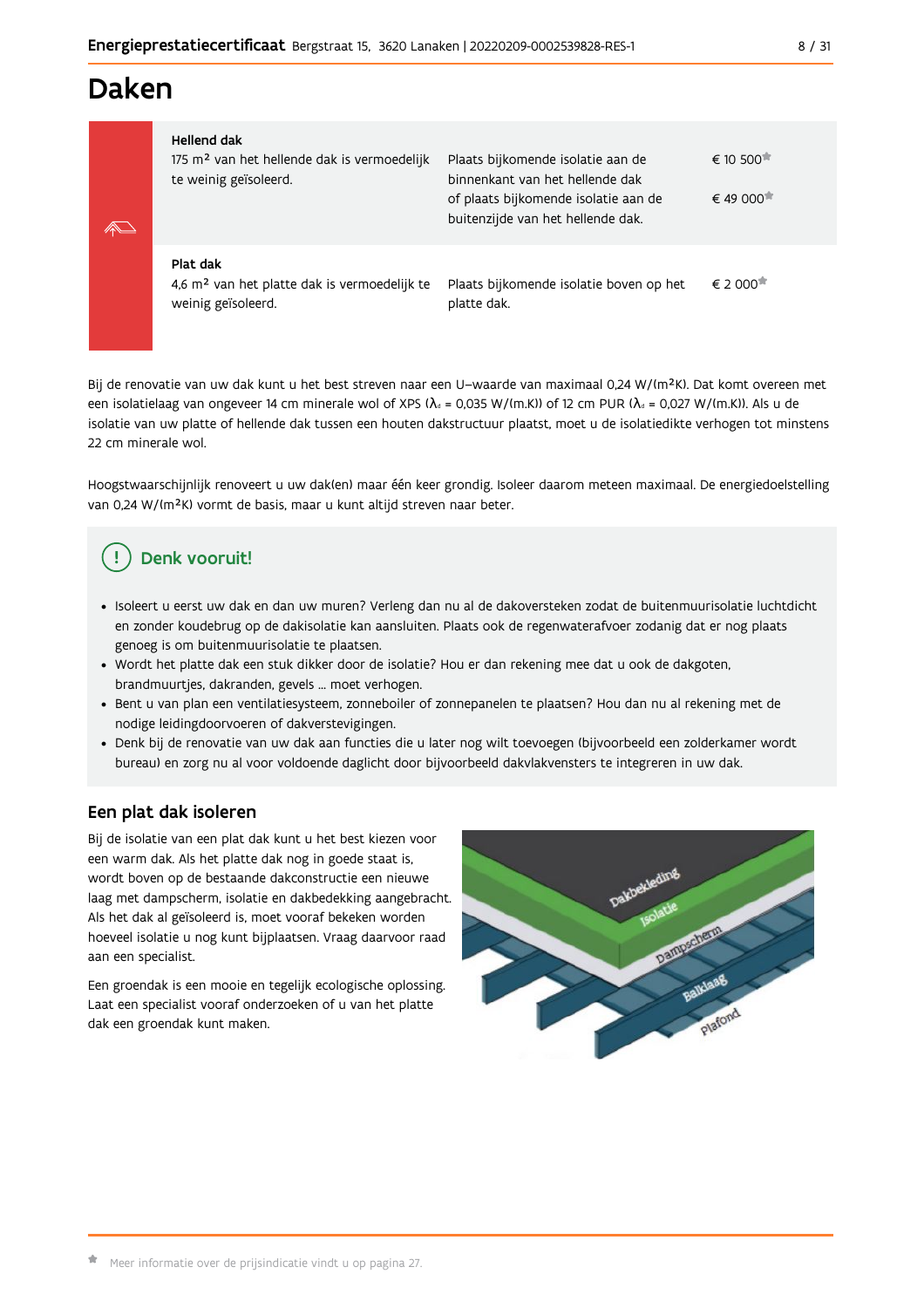# Daken

| $\mathbb{Z}$ | Hellend dak<br>175 m <sup>2</sup> van het hellende dak is vermoedelijk<br>te weinig geïsoleerd. | Plaats bijkomende isolatie aan de<br>binnenkant van het hellende dak<br>of plaats bijkomende isolatie aan de<br>buitenzijde van het hellende dak. | $\epsilon$ 10 500 $\pi$<br>$\epsilon$ 49 000 |
|--------------|-------------------------------------------------------------------------------------------------|---------------------------------------------------------------------------------------------------------------------------------------------------|----------------------------------------------|
|              | Plat dak<br>4,6 m <sup>2</sup> van het platte dak is vermoedelijk te<br>weinig geïsoleerd.      | Plaats bijkomende isolatie boven op het<br>platte dak.                                                                                            | $\epsilon$ 2.000 $\pi$                       |

Bij de renovatie van uw dak kunt u het best streven naar een U-waarde van maximaal 0,24 W/(m<sup>2</sup>K). Dat komt overeen met een isolatielaag van ongeveer 14 cm minerale wol of XPS ( $\lambda_a$  = 0,035 W/(m.K)) of 12 cm PUR ( $\lambda_a$  = 0,027 W/(m.K)). Als u de isolatie van uw platte of hellende dak tussen een houten dakstructuur plaatst, moet u de isolatiedikte verhogen tot minstens 22 cm minerale wol.

Hoogstwaarschijnlijk renoveert u uw dak(en) maar één keer grondig. Isoleer daarom meteen maximaal. De energiedoelstelling van 0,24 W/(m<sup>2</sup>K) vormt de basis, maar u kunt altijd streven naar beter.

## Denk vooruit!

- · Isoleert u eerst uw dak en dan uw muren? Verleng dan nu al de dakoversteken zodat de buitenmuurisolatie luchtdicht en zonder koudebrug op de dakisolatie kan aansluiten. Plaats ook de regenwaterafvoer zodanig dat er nog plaats genoeg is om buitenmuurisolatie te plaatsen.
- · Wordt het platte dak een stuk dikker door de isolatie? Hou er dan rekening mee dat u ook de dakgoten, brandmuurtjes, dakranden, gevels ... moet verhogen.
- · Bent u van plan een ventilatiesysteem, zonneboiler of zonnepanelen te plaatsen? Hou dan nu al rekening met de nodige leidingdoorvoeren of dakverstevigingen.
- · Denk bij de renovatie van uw dak aan functies die u later nog wilt toevoegen (bijvoorbeeld een zolderkamer wordt bureau) en zorg nu al voor voldoende daglicht door bijvoorbeeld dakvlakvensters te integreren in uw dak.

### Een plat dak isoleren

Bij de isolatie van een plat dak kunt u het best kiezen voor een warm dak. Als het platte dak nog in goede staat is, wordt boven op de bestaande dakconstructie een nieuwe laag met dampscherm, isolatie en dakbedekking aangebracht. Als het dak al geïsoleerd is, moet vooraf bekeken worden hoeveel isolatie u nog kunt bijplaatsen. Vraag daarvoor raad aan een specialist.

Een groendak is een mooie en tegelijk ecologische oplossing. Laat een specialist vooraf onderzoeken of u van het platte dak een groendak kunt maken.

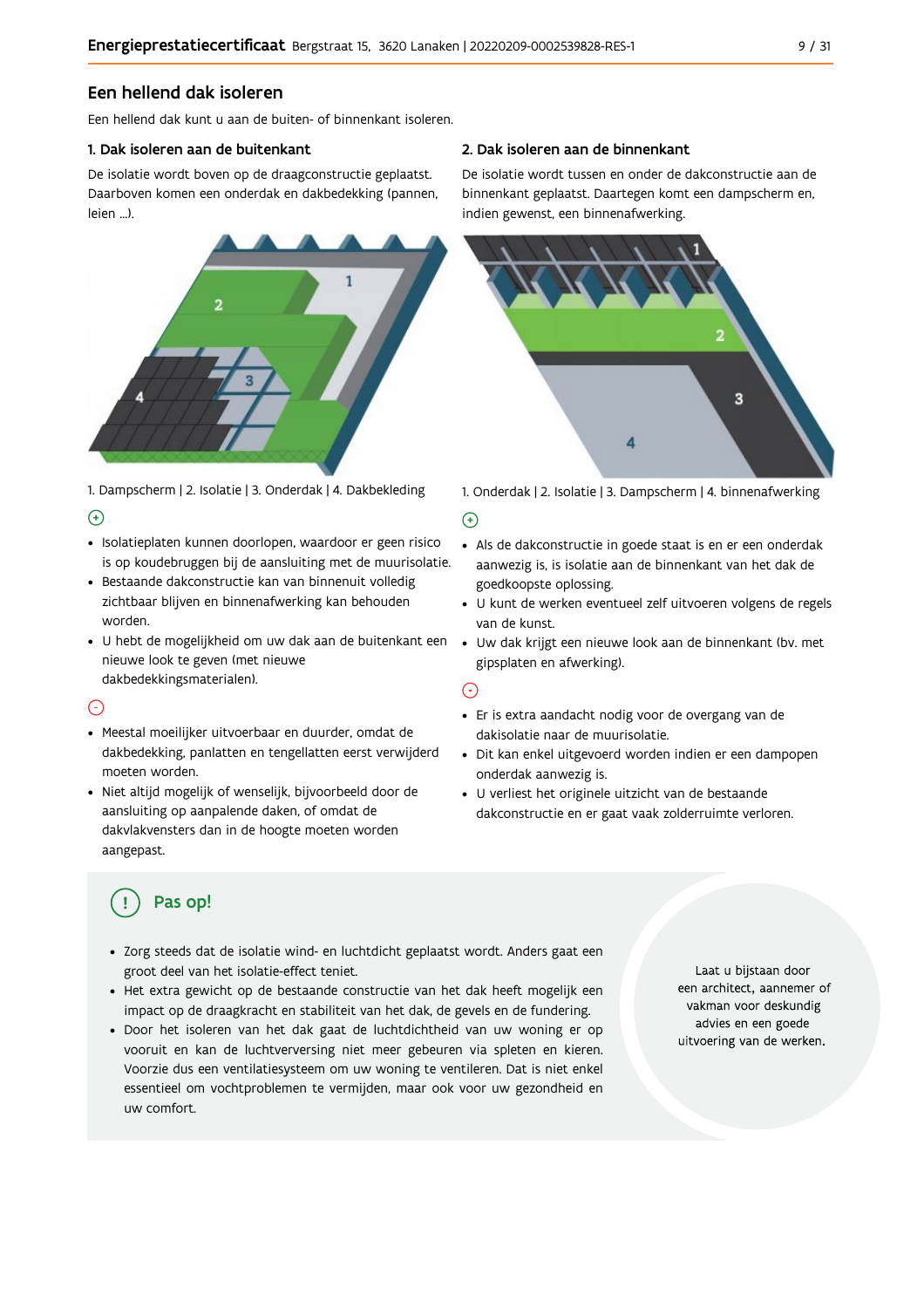### Een hellend dak isoleren

Fen hellend dak kunt u aan de buiten- of binnenkant isoleren

#### 1. Dak isoleren aan de buitenkant

De isolatie wordt boven op de draagconstructie geplaatst. Daarboven komen een onderdak en dakbedekking (pannen, leien ...).



1. Dampscherm | 2. Isolatie | 3. Onderdak | 4. Dakbekleding  $\Theta$ 

- · Isolatieplaten kunnen doorlopen, waardoor er geen risico is op koudebruggen bij de aansluiting met de muurisolatie.
- · Bestaande dakconstructie kan van binnenuit volledig zichtbaar blijven en binnenafwerking kan behouden worden.
- · U hebt de mogelijkheid om uw dak aan de buitenkant een · Uw dak krijgt een nieuwe look aan de binnenkant (bv. met nieuwe look te geven (met nieuwe dakbedekkingsmaterialen).

### $\bigcap$

- · Meestal moeilijker uitvoerbaar en duurder, omdat de dakbedekking, panlatten en tengellatten eerst verwijderd moeten worden.
- · Niet altijd mogelijk of wenselijk, bijvoorbeeld door de aansluiting op aanpalende daken, of omdat de dakvlakvensters dan in de hoogte moeten worden aangepast.

#### 2. Dak isoleren aan de binnenkant

De isolatie wordt tussen en onder de dakconstructie aan de binnenkant geplaatst. Daartegen komt een dampscherm en, indien gewenst, een binnenafwerking.



1. Onderdak | 2. Isolatie | 3. Dampscherm | 4. binnenafwerking

#### $\bigoplus$

- Als de dakconstructie in goede staat is en er een onderdak aanwezig is, is isolatie aan de binnenkant van het dak de goedkoopste oplossing.
- · U kunt de werken eventueel zelf uitvoeren volgens de regels van de kunst.
- gipsplaten en afwerking).

#### $\odot$

- · Er is extra aandacht nodig voor de overgang van de dakisolatie naar de muurisolatie.
- · Dit kan enkel uitgevoerd worden indien er een dampopen onderdak aanwezig is.
- · U verliest het originele uitzicht van de bestaande dakconstructie en er gaat vaak zolderruimte verloren.

## Pas op!

- · Zorg steeds dat de isolatie wind- en luchtdicht geplaatst wordt. Anders gaat een groot deel van het isolatie-effect teniet.
- · Het extra gewicht op de bestaande constructie van het dak heeft mogelijk een impact op de draagkracht en stabiliteit van het dak, de gevels en de fundering.
- · Door het isoleren van het dak gaat de luchtdichtheid van uw woning er op vooruit en kan de luchtverversing niet meer gebeuren via spleten en kieren. Voorzie dus een ventilatiesysteem om uw woning te ventileren. Dat is niet enkel essentieel om vochtproblemen te vermijden, maar ook voor uw gezondheid en uw comfort.

Laat u bijstaan door een architect, aannemer of vakman voor deskundig advies en een goede uitvoering van de werken.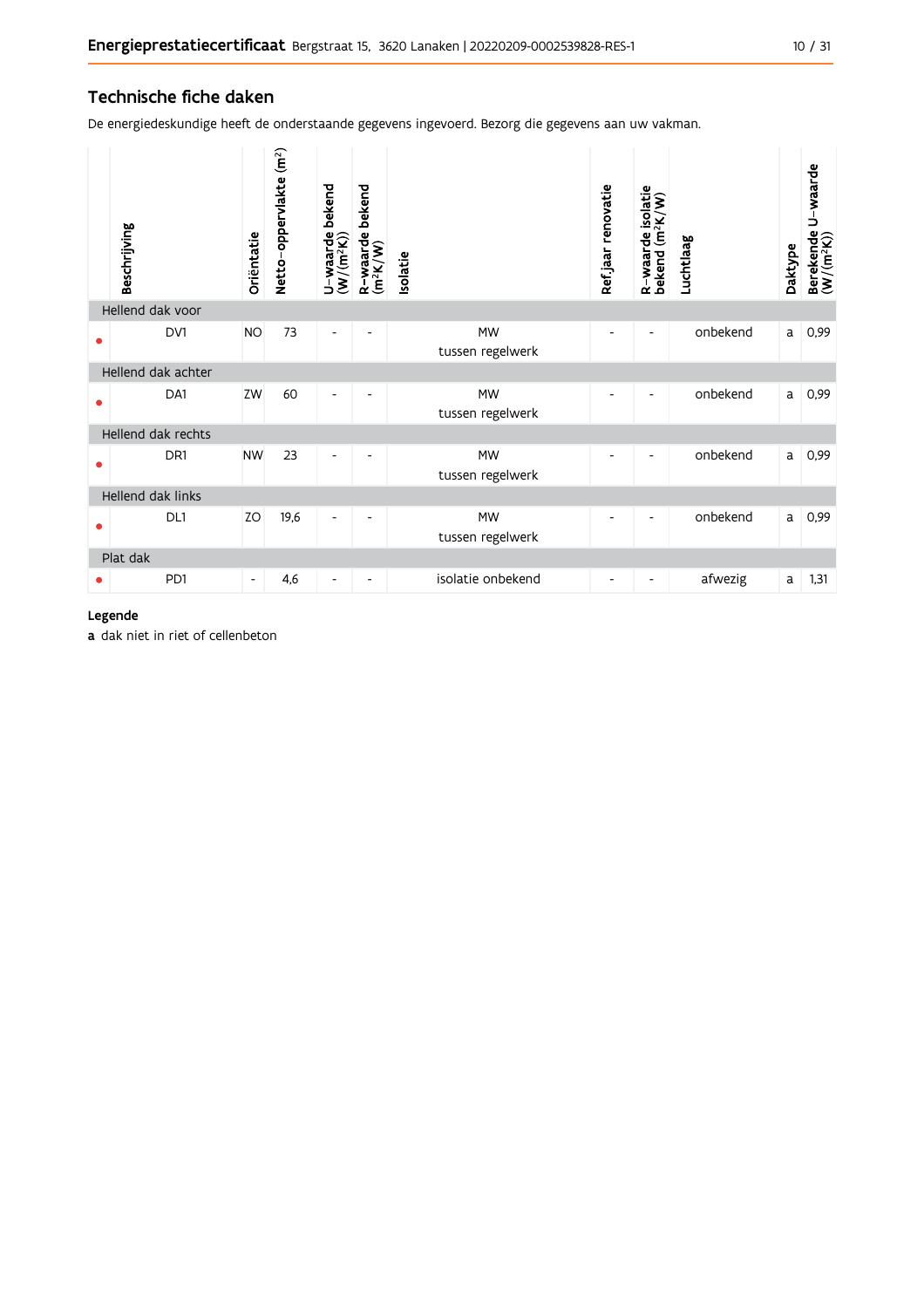#### Technische fiche daken

De energiedeskundige heeft de onderstaande gegevens ingevoerd. Bezorg die gegevens aan uw vakman.

|                  | Beschrijving       | Oriëntatie               | Netto-oppervlakte (m <sup>2</sup> ) | U-waarde bekend<br>(W/(m <sup>2</sup> K)) | bekend<br>$R$ -waarde l $(m^2K/W)$ | <b>Isolatie</b>               | Refjaar renovatie        | R-waarde isolatie<br>bekend (m <sup>2</sup> K/W) | Luchtlaag | Daktype | U waarde<br>Berekende l<br>(W/(m <sup>2</sup> K)) |
|------------------|--------------------|--------------------------|-------------------------------------|-------------------------------------------|------------------------------------|-------------------------------|--------------------------|--------------------------------------------------|-----------|---------|---------------------------------------------------|
| Hellend dak voor |                    |                          |                                     |                                           |                                    |                               |                          |                                                  |           |         |                                                   |
| ●                | DV1                | <b>NO</b>                | 73                                  |                                           |                                    | <b>MW</b><br>tussen regelwerk |                          |                                                  | onbekend  | a       | 0,99                                              |
|                  | Hellend dak achter |                          |                                     |                                           |                                    |                               |                          |                                                  |           |         |                                                   |
|                  | DA1                | ZW                       | 60                                  | $\overline{\phantom{a}}$                  |                                    | <b>MW</b><br>tussen regelwerk |                          | $\blacksquare$                                   | onbekend  | a       | 0,99                                              |
|                  | Hellend dak rechts |                          |                                     |                                           |                                    |                               |                          |                                                  |           |         |                                                   |
|                  | DR1                | <b>NW</b>                | 23                                  | $\overline{\phantom{a}}$                  |                                    | <b>MW</b><br>tussen regelwerk |                          |                                                  | onbekend  | a       | 0,99                                              |
|                  | Hellend dak links  |                          |                                     |                                           |                                    |                               |                          |                                                  |           |         |                                                   |
| e                | DL1                | ZO                       | 19,6                                | $\overline{\phantom{a}}$                  |                                    | <b>MW</b><br>tussen regelwerk |                          |                                                  | onbekend  | a       | 0,99                                              |
|                  | Plat dak           |                          |                                     |                                           |                                    |                               |                          |                                                  |           |         |                                                   |
|                  | P <sub>D</sub> 1   | $\overline{\phantom{a}}$ | 4,6                                 | -                                         |                                    | isolatie onbekend             | $\overline{\phantom{a}}$ | $\overline{\phantom{a}}$                         | afwezig   | a       | 1,31                                              |

#### Legende

a dak niet in riet of cellenbeton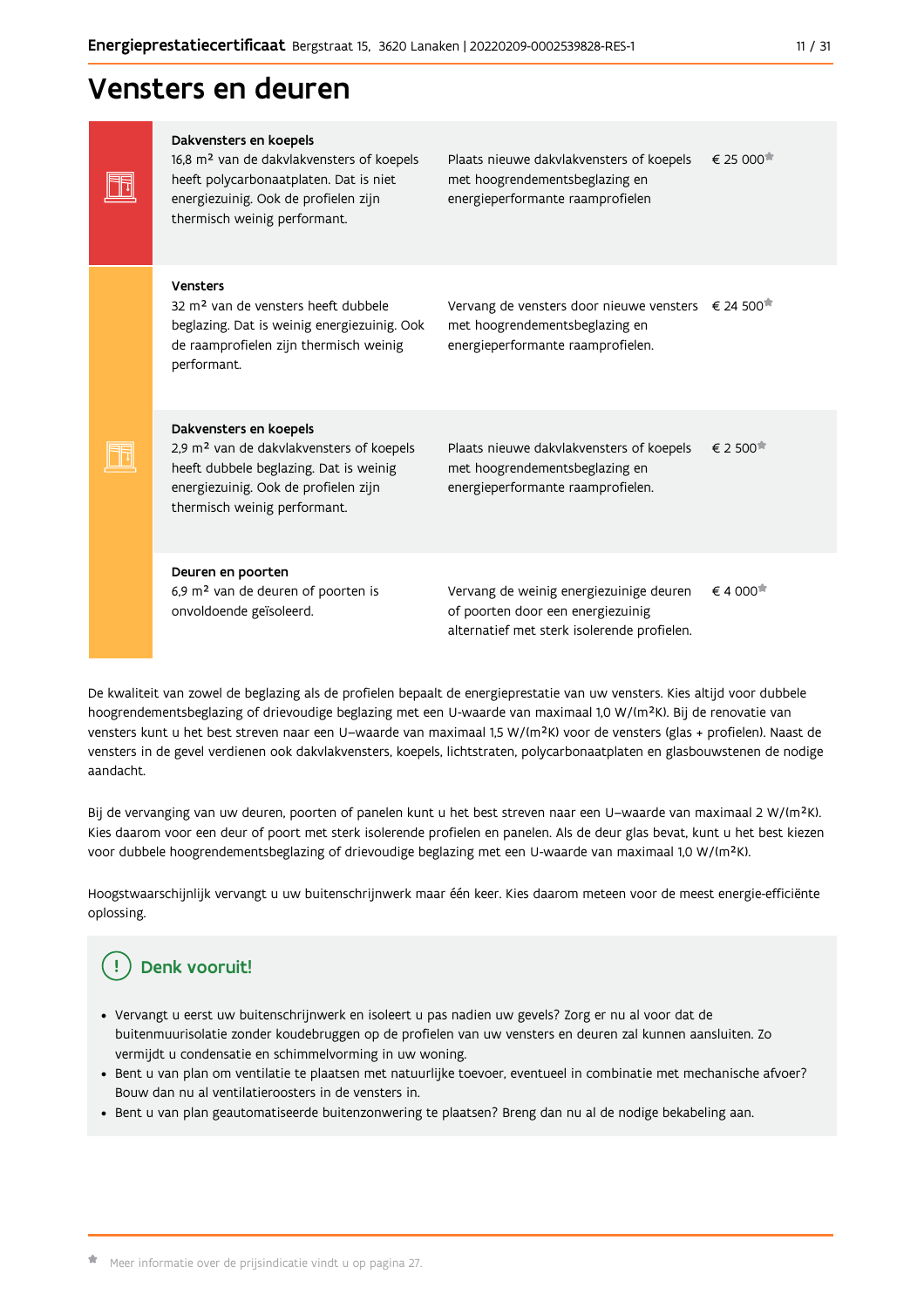## Vensters en deuren

| Dakvensters en koepels<br>16,8 m <sup>2</sup> van de dakvlakvensters of koepels<br>heeft polycarbonaatplaten. Dat is niet<br>energiezuinig. Ook de profielen zijn<br>thermisch weinig performant. | Plaats nieuwe dakvlakvensters of koepels<br>met hoogrendementsbeglazing en<br>energieperformante raamprofielen                        | $\epsilon$ 25 000 <sup><math>\pi</math></sup> |
|---------------------------------------------------------------------------------------------------------------------------------------------------------------------------------------------------|---------------------------------------------------------------------------------------------------------------------------------------|-----------------------------------------------|
| Vensters<br>32 m <sup>2</sup> van de vensters heeft dubbele<br>beglazing. Dat is weinig energiezuinig. Ook<br>de raamprofielen zijn thermisch weinig<br>performant.                               | Vervang de vensters door nieuwe vensters € 24 500 <sup>*</sup><br>met hoogrendementsbeglazing en<br>energieperformante raamprofielen. |                                               |
| Dakvensters en koepels<br>2,9 m <sup>2</sup> van de dakvlakvensters of koepels<br>heeft dubbele beglazing. Dat is weinig<br>energiezuinig. Ook de profielen zijn<br>thermisch weinig performant.  | Plaats nieuwe dakvlakvensters of koepels<br>met hoogrendementsbeglazing en<br>energieperformante raamprofielen.                       | $\epsilon$ 2 500 $^{\ast}$                    |
| Deuren en poorten<br>6,9 m <sup>2</sup> van de deuren of poorten is<br>onvoldoende geïsoleerd.                                                                                                    | Vervang de weinig energiezuinige deuren<br>of poorten door een energiezuinig<br>alternatief met sterk isolerende profielen.           | € 4 000 <sup><math>#</math></sup>             |

De kwaliteit van zowel de beglazing als de profielen bepaalt de energieprestatie van uw vensters. Kies altijd voor dubbele hoogrendementsbeglazing of drievoudige beglazing met een U-waarde van maximaal 1,0 W/(m<sup>2</sup>K). Bij de renovatie van vensters kunt u het best streven naar een U-waarde van maximaal 1,5 W/(m<sup>2</sup>K) voor de vensters (glas + profielen). Naast de vensters in de gevel verdienen ook dakvlakvensters, koepels, lichtstraten, polycarbonaatplaten en glasbouwstenen de nodige aandacht.

Bij de vervanging van uw deuren, poorten of panelen kunt u het best streven naar een U-waarde van maximaal 2 W/(m<sup>2</sup>K). Kies daarom voor een deur of poort met sterk isolerende profielen en panelen. Als de deur glas bevat, kunt u het best kiezen voor dubbele hoogrendementsbeglazing of drievoudige beglazing met een U-waarde van maximaal 1,0 W/(m<sup>2</sup>K).

Hoogstwaarschijnlijk vervangt u uw buitenschrijnwerk maar één keer. Kies daarom meteen voor de meest energie-efficiënte oplossing.

#### Ţ Denk vooruit!

- · Vervangt u eerst uw buitenschrijnwerk en isoleert u pas nadien uw gevels? Zorg er nu al voor dat de buitenmuurisolatie zonder koudebruggen op de profielen van uw vensters en deuren zal kunnen aansluiten. Zo vermijdt u condensatie en schimmelvorming in uw woning.
- Bent u van plan om ventilatie te plaatsen met natuurlijke toevoer, eventueel in combinatie met mechanische afvoer? Bouw dan nu al ventilatieroosters in de vensters in.
- · Bent u van plan geautomatiseerde buitenzonwering te plaatsen? Breng dan nu al de nodige bekabeling aan.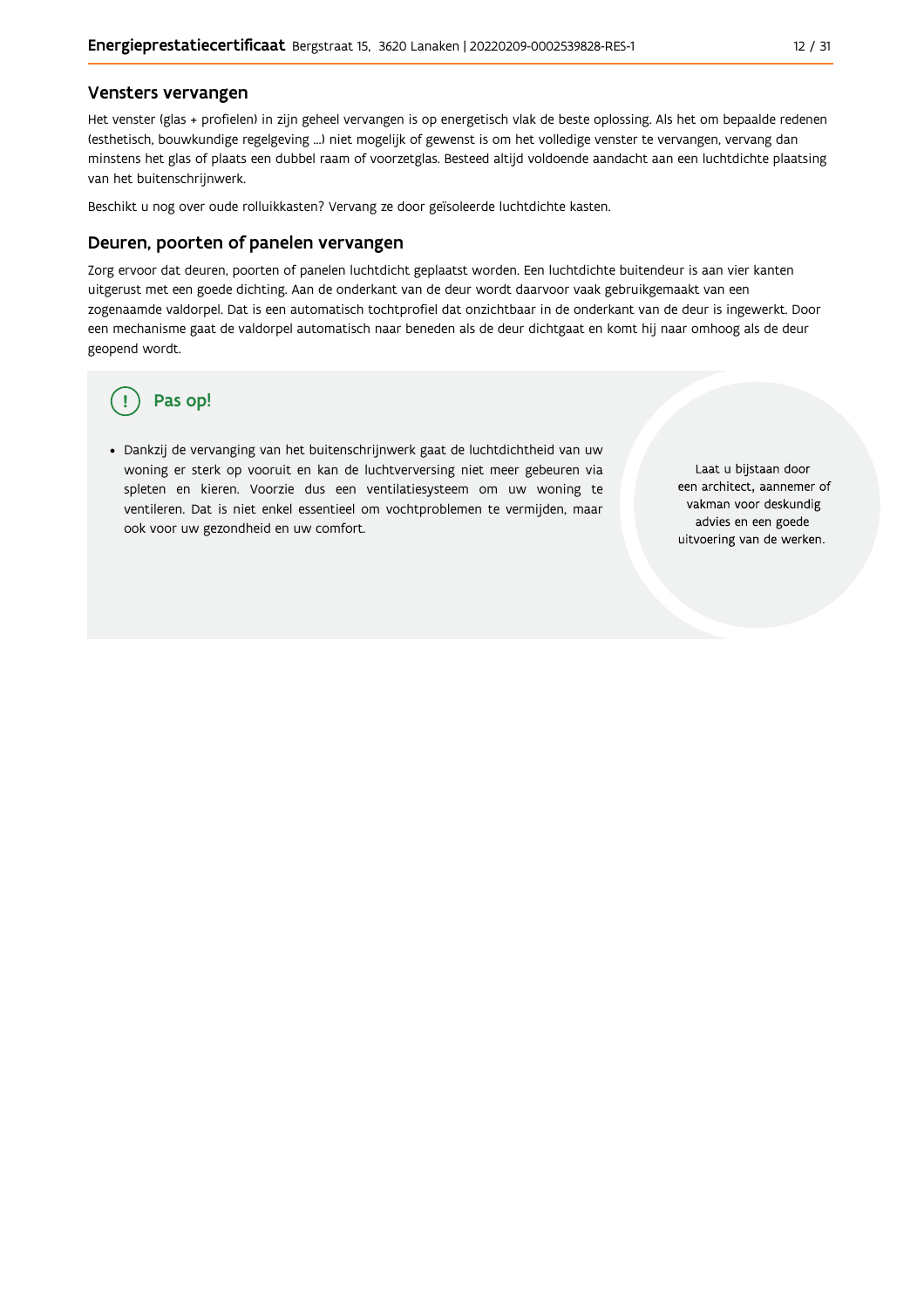#### Vensters vervangen

Het venster (glas + profielen) in zijn geheel vervangen is op energetisch vlak de beste oplossing. Als het om bepaalde redenen (esthetisch, bouwkundige regelgeving ...) niet mogelijk of gewenst is om het volledige venster te vervangen, vervang dan minstens het glas of plaats een dubbel raam of voorzetglas. Besteed altijd voldoende aandacht aan een luchtdichte plaatsing van het buitenschrijnwerk.

Beschikt u nog over oude rolluikkasten? Vervang ze door geïsoleerde luchtdichte kasten.

#### Deuren, poorten of panelen vervangen

Zorg ervoor dat deuren, poorten of panelen luchtdicht geplaatst worden. Een luchtdichte buitendeur is aan vier kanten uitgerust met een goede dichting. Aan de onderkant van de deur wordt daarvoor vaak gebruikgemaakt van een zogenaamde valdorpel. Dat is een automatisch tochtprofiel dat onzichtbaar in de onderkant van de deur is ingewerkt. Door een mechanisme gaat de valdorpel automatisch naar beneden als de deur dichtgaat en komt hij naar omhoog als de deur geopend wordt.

## Pas op!

· Dankzij de vervanging van het buitenschrijnwerk gaat de luchtdichtheid van uw woning er sterk op vooruit en kan de luchtverversing niet meer gebeuren via spleten en kieren. Voorzie dus een ventilatiesysteem om uw woning te ventileren. Dat is niet enkel essentieel om vochtproblemen te vermijden, maar ook voor uw gezondheid en uw comfort.

Laat u bijstaan door een architect, aannemer of vakman voor deskundig advies en een goede uitvoering van de werken.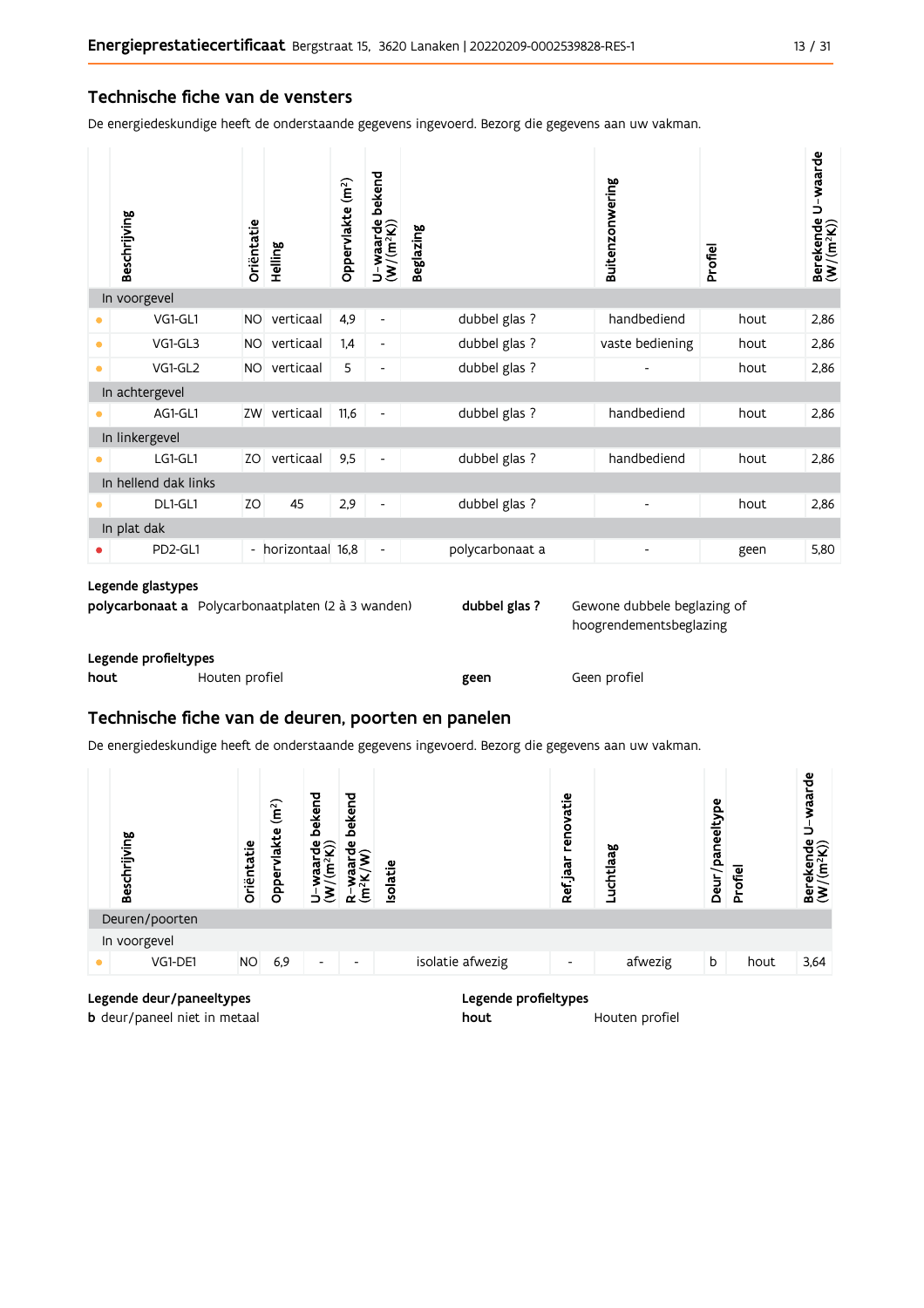#### Technische fiche van de vensters

De energiedeskundige heeft de onderstaande gegevens ingevoerd. Bezorg die gegevens aan uw vakman.

| bekend<br>Oppervlakte (m <sup>2</sup> )<br>Beschrijving<br>$U$ –waarde<br>(W/(m <sup>2</sup> K))<br>Oriëntatie<br><b>Beglazing</b><br>Helling | Buitenzonwering                  | Profiel | U waarde<br>Berekende I<br>(W/(m <sup>2</sup> K)) |
|-----------------------------------------------------------------------------------------------------------------------------------------------|----------------------------------|---------|---------------------------------------------------|
| In voorgevel                                                                                                                                  |                                  |         |                                                   |
| 4,9<br>VG1-GL1<br>verticaal<br><b>NO</b><br>$\overline{\phantom{a}}$<br>٠                                                                     | dubbel glas ?<br>handbediend     | hout    | 2,86                                              |
| VG1-GL3<br>verticaal<br>1,4<br><b>NO</b><br>$\bullet$<br>$\overline{\phantom{a}}$                                                             | dubbel glas ?<br>vaste bediening | hout    | 2,86                                              |
| VG1-GL2<br>verticaal<br>5<br><b>NO</b><br>$\bullet$<br>$\overline{\phantom{a}}$                                                               | dubbel glas ?                    | hout    | 2,86                                              |
| In achtergevel                                                                                                                                |                                  |         |                                                   |
| verticaal<br>AG1-GL1<br>ZW<br>11,6<br>٠<br>$\overline{\phantom{a}}$                                                                           | dubbel glas ?<br>handbediend     | hout    | 2,86                                              |
| In linkergevel                                                                                                                                |                                  |         |                                                   |
| verticaal<br>9,5<br>LG1-GL1<br>ZO.<br>$\overline{\phantom{a}}$<br>●                                                                           | dubbel glas ?<br>handbediend     | hout    | 2,86                                              |
| In hellend dak links                                                                                                                          |                                  |         |                                                   |
| 45<br>ZO<br>2,9<br>DL1-GL1<br>-                                                                                                               | dubbel glas ?                    | hout    | 2,86                                              |
| In plat dak                                                                                                                                   |                                  |         |                                                   |
| PD2-GL1<br>- horizontaal 16,8<br>$\overline{\phantom{a}}$                                                                                     | polycarbonaat a                  | geen    | 5,80                                              |

#### Legende glastypes

|                      | <b>polycarbonaat a</b> Polycarbonaatplaten (2 à 3 wanden) | dubbel glas? | Gewone dubbele beglazing of |
|----------------------|-----------------------------------------------------------|--------------|-----------------------------|
|                      |                                                           |              | hoogrendementsbeglazing     |
| Legende profieltypes |                                                           |              |                             |

| hout | Houten profiel | geen | Geen profiel |
|------|----------------|------|--------------|
|      |                |      |              |

### Technische fiche van de deuren, poorten en panelen

De energiedeskundige heeft de onderstaande gegevens ingevoerd. Bezorg die gegevens aan uw vakman.

| Beschrijving   | Oriëntatie | (m <sup>2</sup> )<br>vlakte<br>Opper | bekend<br>ਚੰ⊊ੇ<br>$\mathbf{\tilde{e}}$<br>gg | bekend<br>ម៉ $\sim$<br>ε | solatie |                  | renovatie<br>Ref jaar    | Luchtlaag | paneeltype<br>Deur/J | Profiel | waarde<br>د<br>$\begin{array}{ll} \text{Berekende} \\ (\textbf{W}/(\textbf{m}^2\textbf{K})) \end{array}$ |
|----------------|------------|--------------------------------------|----------------------------------------------|--------------------------|---------|------------------|--------------------------|-----------|----------------------|---------|----------------------------------------------------------------------------------------------------------|
| Deuren/poorten |            |                                      |                                              |                          |         |                  |                          |           |                      |         |                                                                                                          |
| In voorgevel   |            |                                      |                                              |                          |         |                  |                          |           |                      |         |                                                                                                          |
| VG1-DE1        | <b>NO</b>  | 6,9                                  | $\overline{\phantom{a}}$                     | $\overline{\phantom{0}}$ |         | isolatie afwezig | $\overline{\phantom{a}}$ | afwezig   | b                    | hout    | 3,64                                                                                                     |
|                |            |                                      |                                              |                          |         |                  |                          |           |                      |         |                                                                                                          |

| Legende deur/paneeltypes            |  |
|-------------------------------------|--|
| <b>b</b> deur/paneel niet in metaal |  |

Legende profieltypes

hout Houten profiel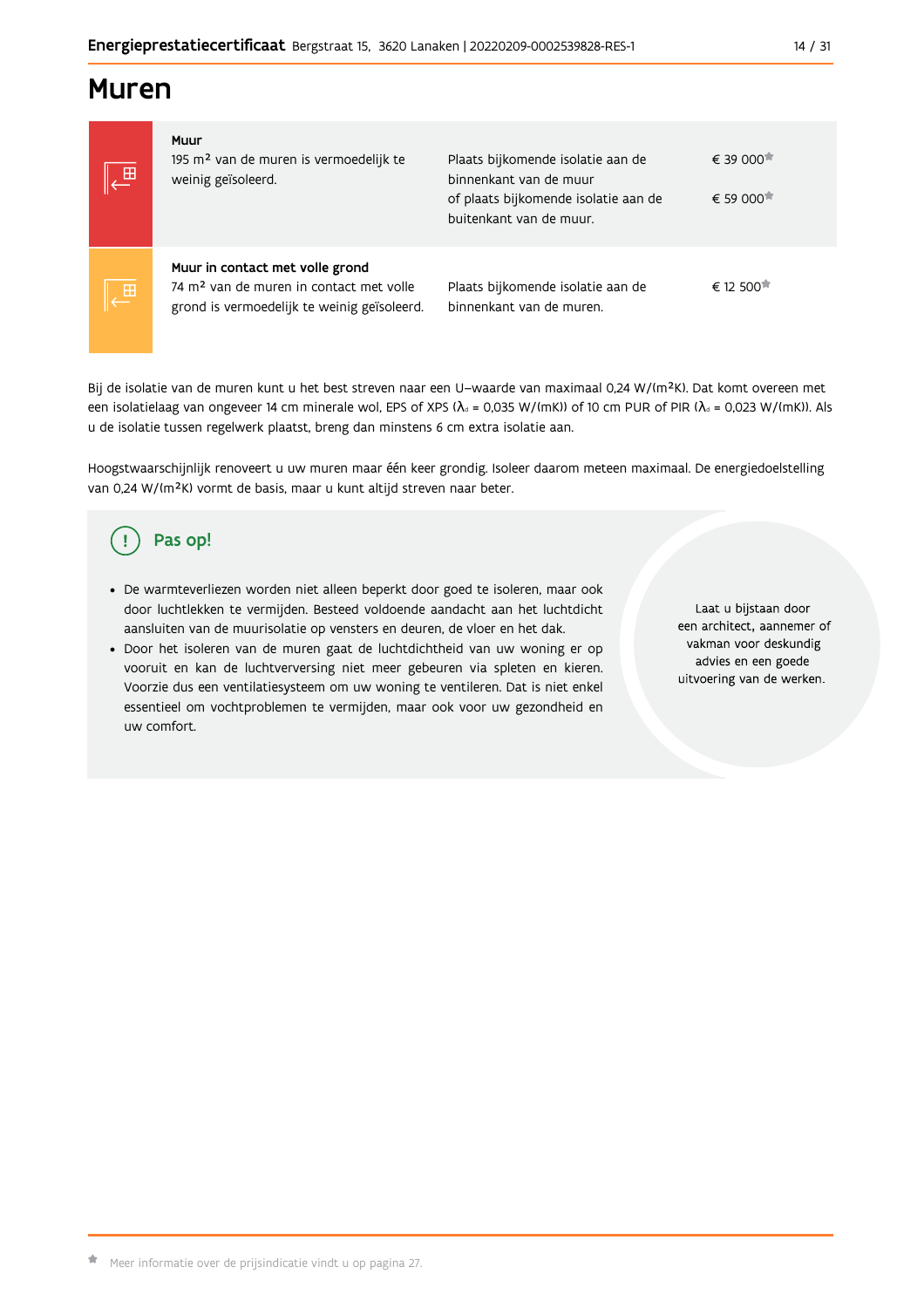## **Muren**

| $\overline{\mathbb{E}}$ | Muur<br>195 m <sup>2</sup> van de muren is vermoedelijk te<br>weinig geïsoleerd.                                                      | Plaats bijkomende isolatie aan de<br>binnenkant van de muur<br>of plaats bijkomende isolatie aan de<br>buitenkant van de muur. | € 39 000 <sup>★</sup><br>€ 59 000 <sup>★</sup> |
|-------------------------|---------------------------------------------------------------------------------------------------------------------------------------|--------------------------------------------------------------------------------------------------------------------------------|------------------------------------------------|
| $\overline{\oplus}$     | Muur in contact met volle grond<br>74 m <sup>2</sup> van de muren in contact met volle<br>grond is vermoedelijk te weinig geïsoleerd. | Plaats bijkomende isolatie aan de<br>binnenkant van de muren.                                                                  | € 12 500                                       |

Bij de isolatie van de muren kunt u het best streven naar een U-waarde van maximaal 0,24 W/(m<sup>2</sup>K). Dat komt overeen met een isolatielaag van ongeveer 14 cm minerale wol, EPS of XPS ( $\lambda_a$  = 0,035 W/(mK)) of 10 cm PUR of PIR ( $\lambda_a$  = 0,023 W/(mK)). Als u de isolatie tussen regelwerk plaatst, breng dan minstens 6 cm extra isolatie aan.

Hoogstwaarschijnlijk renoveert u uw muren maar één keer grondig. Isoleer daarom meteen maximaal. De energiedoelstelling van 0,24 W/(m<sup>2</sup>K) vormt de basis, maar u kunt altijd streven naar beter.

# Pas op!

- · De warmteverliezen worden niet alleen beperkt door goed te isoleren, maar ook door luchtlekken te vermijden. Besteed voldoende aandacht aan het luchtdicht aansluiten van de muurisolatie op vensters en deuren, de vloer en het dak.
- . Door het isoleren van de muren gaat de luchtdichtheid van uw woning er op vooruit en kan de luchtverversing niet meer gebeuren via spleten en kieren. Voorzie dus een ventilatiesysteem om uw woning te ventileren. Dat is niet enkel essentieel om vochtproblemen te vermijden, maar ook voor uw gezondheid en uw comfort.

Laat u bijstaan door een architect, aannemer of vakman voor deskundig advies en een goede uitvoering van de werken.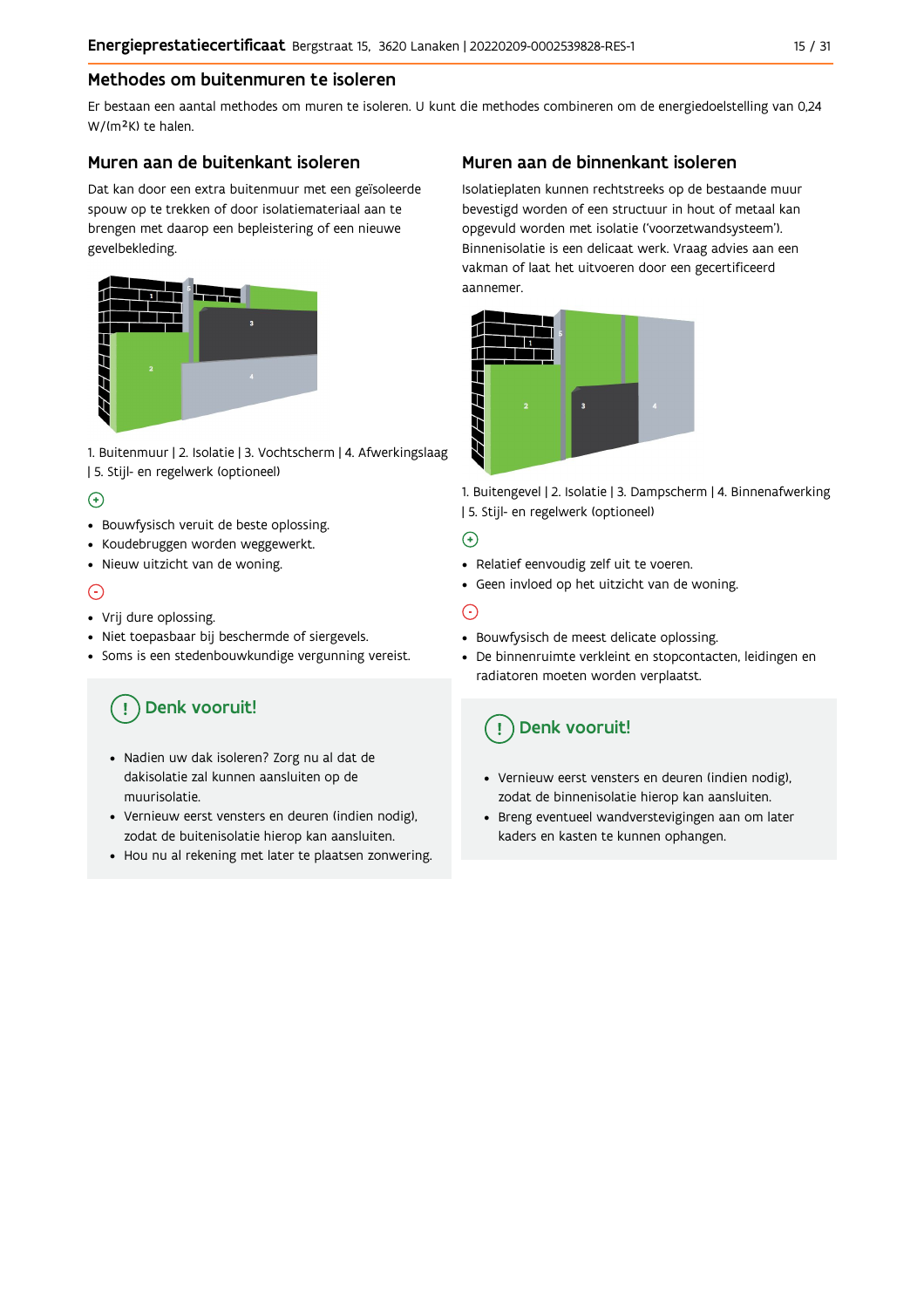### Methodes om buitenmuren te isoleren

Er bestaan een aantal methodes om muren te isoleren. U kunt die methodes combineren om de energiedoelstelling van 0,24 W/(m<sup>2</sup>K) te halen.

#### Muren aan de buitenkant isoleren

Dat kan door een extra buitenmuur met een geïsoleerde spouw op te trekken of door isolatiemateriaal aan te brengen met daarop een bepleistering of een nieuwe gevelbekleding.



1. Buitenmuur | 2. Isolatie | 3. Vochtscherm | 4. Afwerkingslaag | 5. Stijl- en regelwerk (optioneel)

### $\bigoplus$

- Bouwfysisch veruit de beste oplossing.
- Koudebruggen worden weggewerkt.
- · Nieuw uitzicht van de woning.

### $\odot$

#### • Vrij dure oplossing.

- · Niet toepasbaar bij beschermde of siergevels.
- Soms is een stedenbouwkundige vergunning vereist.

# Denk vooruit!

- · Nadien uw dak isoleren? Zorg nu al dat de dakisolatie zal kunnen aansluiten op de muurisolatie.
- · Vernieuw eerst vensters en deuren (indien nodig), zodat de buitenisolatie hierop kan aansluiten.
- Hou nu al rekening met later te plaatsen zonwering.

### Muren aan de binnenkant isoleren

Isolatieplaten kunnen rechtstreeks op de bestaande muur bevestigd worden of een structuur in hout of metaal kan opgevuld worden met isolatie ('voorzetwandsysteem'). Binnenisolatie is een delicaat werk. Vraag advies aan een vakman of laat het uitvoeren door een gecertificeerd aannemer



1. Buitengevel | 2. Isolatie | 3. Dampscherm | 4. Binnenafwerking | 5. Stijl- en regelwerk (optioneel)

#### $\bigoplus$

- Relatief eenvoudig zelf uit te voeren.
- Geen invloed op het uitzicht van de woning.

### ⊝

- Bouwfysisch de meest delicate oplossing.
- · De binnenruimte verkleint en stopcontacten, leidingen en radiatoren moeten worden verplaatst.

## Denk vooruit!

- Vernieuw eerst vensters en deuren (indien nodig), zodat de binnenisolatie hierop kan aansluiten.
- · Breng eventueel wandverstevigingen aan om later kaders en kasten te kunnen ophangen.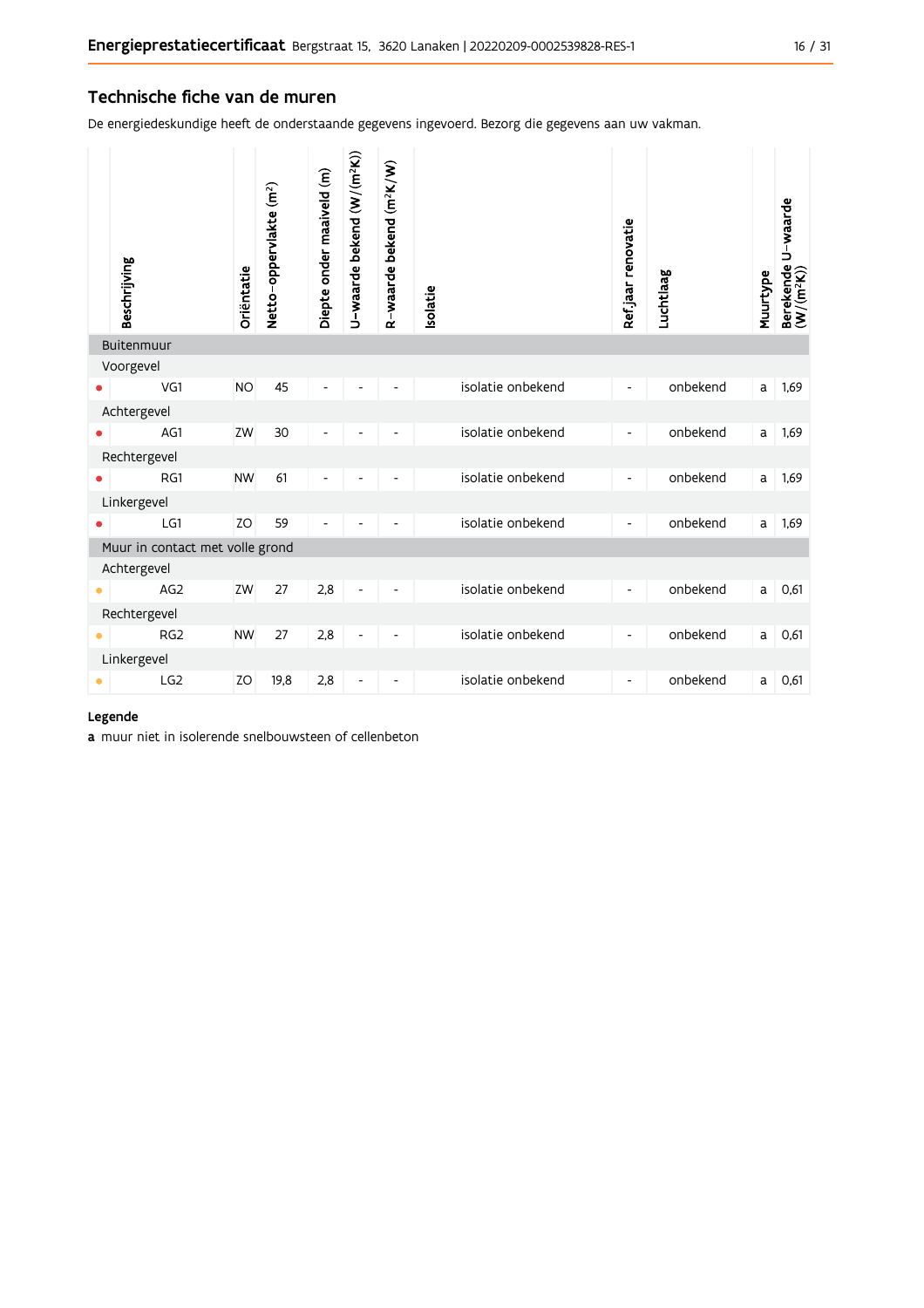#### Technische fiche van de muren

De energiedeskundige heeft de onderstaande gegevens ingevoerd. Bezorg die gegevens aan uw vakman.

| Beschrijving                    | Oriëntatie | Netto-oppervlakte (m <sup>2</sup> ) | Diepte onder maaiveld (m) | U-waarde bekend (W/(m <sup>2</sup> K)) | R-waarde bekend (m <sup>2</sup> K/W) | <b>Isolatie</b>   | Ref jaar renovatie       | Luchtlaag | Muurtype | Berekende U-waarde<br>(W/(m <sup>2</sup> K)) |
|---------------------------------|------------|-------------------------------------|---------------------------|----------------------------------------|--------------------------------------|-------------------|--------------------------|-----------|----------|----------------------------------------------|
| Buitenmuur                      |            |                                     |                           |                                        |                                      |                   |                          |           |          |                                              |
| Voorgevel<br>VG1                | <b>NO</b>  | 45                                  |                           |                                        |                                      | isolatie onbekend |                          | onbekend  | a        | 1,69                                         |
| Achtergevel                     |            |                                     |                           |                                        |                                      |                   |                          |           |          |                                              |
| AG1                             | ZW         | 30                                  | ٠                         |                                        |                                      | isolatie onbekend |                          | onbekend  | a        | 1,69                                         |
| Rechtergevel                    |            |                                     |                           |                                        |                                      |                   |                          |           |          |                                              |
| RG1                             | <b>NW</b>  | 61                                  | Ĭ.                        |                                        |                                      | isolatie onbekend | $\overline{\phantom{0}}$ | onbekend  | a        | 1,69                                         |
| Linkergevel                     |            |                                     |                           |                                        |                                      |                   |                          |           |          |                                              |
| LG1                             | <b>ZO</b>  | 59                                  | L,                        |                                        |                                      | isolatie onbekend | $\overline{\phantom{a}}$ | onbekend  | a        | 1,69                                         |
| Muur in contact met volle grond |            |                                     |                           |                                        |                                      |                   |                          |           |          |                                              |
| Achtergevel                     |            |                                     |                           |                                        |                                      |                   |                          |           |          |                                              |
| AG <sub>2</sub>                 | ZW         | 27                                  | 2,8                       | $\qquad \qquad \blacksquare$           | $\overline{\phantom{a}}$             | isolatie onbekend | $\overline{\phantom{a}}$ | onbekend  | a        | 0,61                                         |
| Rechtergevel                    |            |                                     |                           |                                        |                                      |                   |                          |           |          |                                              |
| RG <sub>2</sub>                 | <b>NW</b>  | 27                                  | 2,8                       | $\qquad \qquad \blacksquare$           | $\overline{\phantom{a}}$             | isolatie onbekend | $\overline{\phantom{a}}$ | onbekend  | a        | 0,61                                         |
| Linkergevel                     |            |                                     |                           |                                        |                                      |                   |                          |           |          |                                              |
| LG <sub>2</sub>                 | ZO         | 19,8                                | 2,8                       | $\qquad \qquad \blacksquare$           | $\overline{\phantom{0}}$             | isolatie onbekend | $\overline{\phantom{a}}$ | onbekend  | a        | 0,61                                         |

#### Legende

a muur niet in isolerende snelbouwsteen of cellenbeton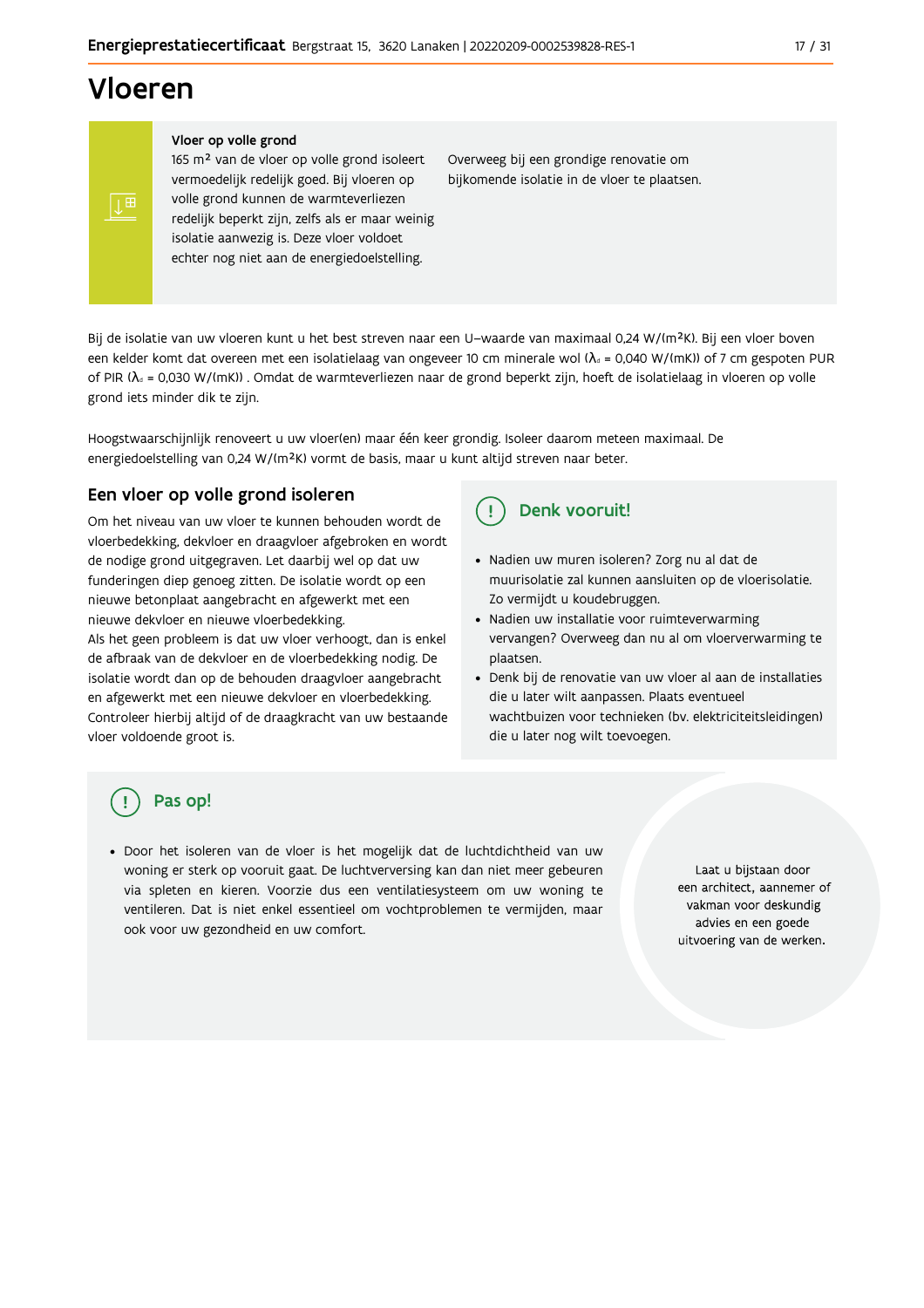# Vloeren

#### Vloer op volle grond

165 m<sup>2</sup> van de vloer op volle grond isoleert vermoedelijk redelijk goed. Bij vloeren op volle grond kunnen de warmteverliezen redelijk beperkt zijn, zelfs als er maar weinig isolatie aanwezig is. Deze vloer voldoet echter nog niet aan de energiedoelstelling.

Overweeg bij een grondige renovatie om bijkomende isolatie in de vloer te plaatsen.

Bij de isolatie van uw vloeren kunt u het best streven naar een U-waarde van maximaal 0,24 W/(m<sup>2</sup>K). Bij een vloer boven een kelder komt dat overeen met een isolatielaag van ongeveer 10 cm minerale wol ( $\lambda_d$  = 0,040 W/(mK)) of 7 cm gespoten PUR of PIR ( $\lambda_4$  = 0,030 W/(mK)). Omdat de warmteverliezen naar de grond beperkt zijn, hoeft de isolatielaag in vloeren op volle grond iets minder dik te zijn.

Hoogstwaarschijnlijk renoveert u uw vloer(en) maar één keer grondig. Isoleer daarom meteen maximaal. De energiedoelstelling van 0,24 W/(m<sup>2</sup>K) vormt de basis, maar u kunt altijd streven naar beter.

#### Een vloer op volle grond isoleren

Om het niveau van uw vloer te kunnen behouden wordt de vloerbedekking, dekvloer en draagvloer afgebroken en wordt de nodige grond uitgegraven. Let daarbij wel op dat uw funderingen diep genoeg zitten. De isolatie wordt op een nieuwe betonplaat aangebracht en afgewerkt met een nieuwe dekvloer en nieuwe vloerbedekking.

Als het geen probleem is dat uw vloer verhoogt, dan is enkel de afbraak van de dekvloer en de vloerbedekking nodig. De isolatie wordt dan op de behouden draagvloer aangebracht en afgewerkt met een nieuwe dekvloer en vloerbedekking. Controleer hierbij altijd of de draagkracht van uw bestaande vloer voldoende groot is.

#### Denk vooruit!  $\left( \begin{array}{c} 1 \end{array} \right)$

- · Nadien uw muren isoleren? Zorg nu al dat de muurisolatie zal kunnen aansluiten op de vloerisolatie. Zo vermijdt u koudebruggen.
- Nadien uw installatie voor ruimteverwarming vervangen? Overweeg dan nu al om vloerverwarming te plaatsen.
- Denk bij de renovatie van uw vloer al aan de installaties die u later wilt aanpassen. Plaats eventueel wachtbuizen voor technieken (bv. elektriciteitsleidingen) die u later nog wilt toevoegen.

## Pas op!

· Door het isoleren van de vloer is het mogelijk dat de luchtdichtheid van uw woning er sterk op vooruit gaat. De luchtverversing kan dan niet meer gebeuren via spleten en kieren. Voorzie dus een ventilatiesysteem om uw woning te ventileren. Dat is niet enkel essentieel om vochtproblemen te vermijden, maar ook voor uw gezondheid en uw comfort.

Laat u bijstaan door een architect, aannemer of vakman voor deskundig advies en een goede uitvoering van de werken.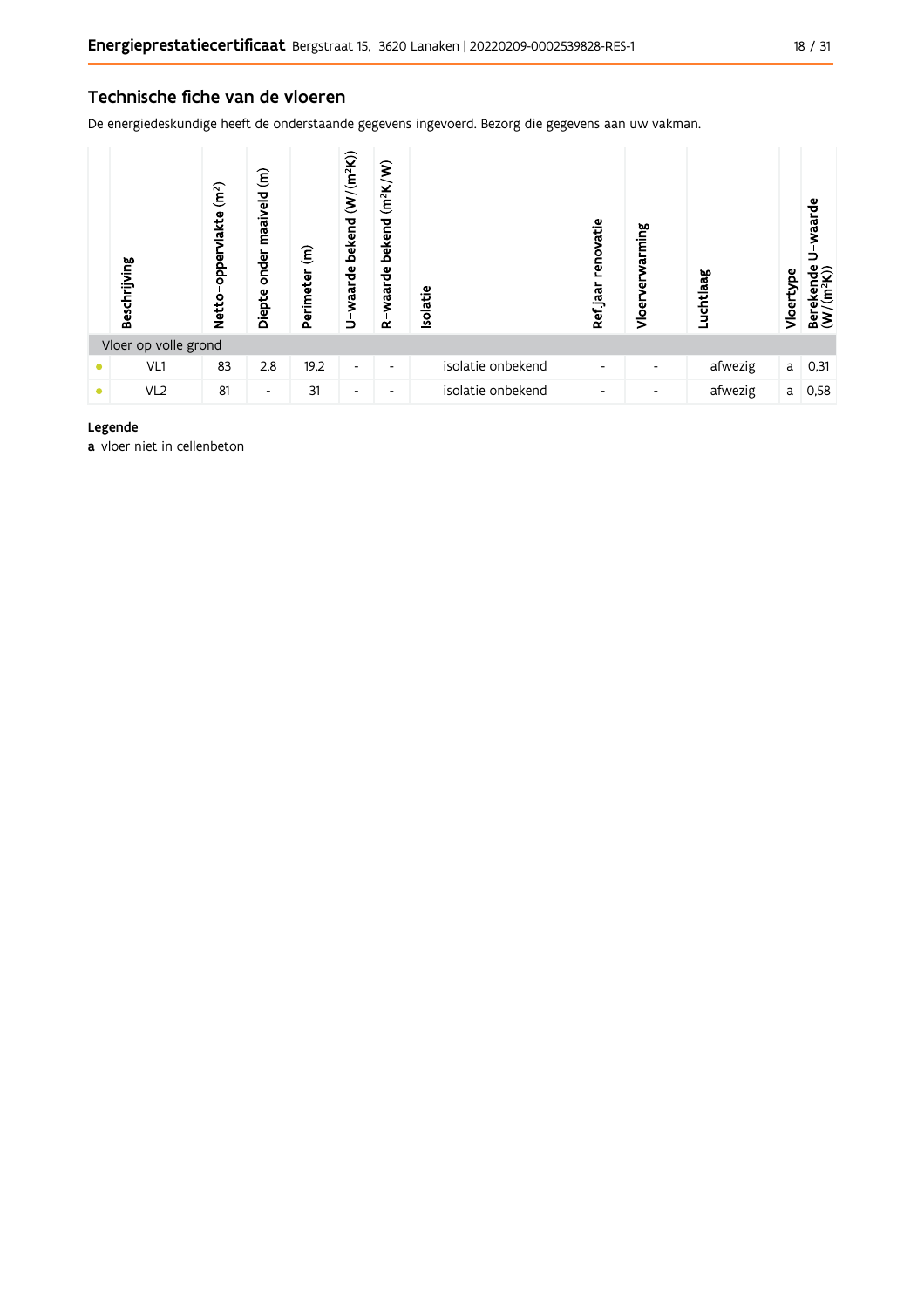De energiedeskundige heeft de onderstaande gegevens ingevoerd. Bezorg die gegevens aan uw vakman.

| Beschrijving         | (m <sup>2</sup> )<br>vlakte<br>oppery<br><b>Netto</b> | $\widehat{\epsilon}$<br>maaiveld<br>onder<br>Diepte | $\widehat{\epsilon}$<br>Perimeter | bekend (W/(m <sup>2</sup> K))<br>U-waarde | $(m^2K/W)$<br>bekend<br>waarde<br>≃ | <b>Isolatie</b>   | renovatie<br>Ref jaar | rming<br>ಗ<br>Vloer | Luchtlaag | Vloertype | waarde<br>Berekende<br>$(W/(m^2K))$ |
|----------------------|-------------------------------------------------------|-----------------------------------------------------|-----------------------------------|-------------------------------------------|-------------------------------------|-------------------|-----------------------|---------------------|-----------|-----------|-------------------------------------|
| Vloer op volle grond |                                                       |                                                     |                                   |                                           |                                     |                   |                       |                     |           |           |                                     |
| VL1                  | 83                                                    | 2,8                                                 | 19,2                              | ۰                                         | $\overline{\phantom{a}}$            | isolatie onbekend | ٠                     |                     | afwezig   | a         | 0,31                                |
| VL <sub>2</sub>      | 81                                                    | $\overline{\phantom{a}}$                            | 31                                | $\overline{\phantom{0}}$                  | $\overline{\phantom{0}}$            | isolatie onbekend | -                     |                     | afwezig   | a         | 0,58                                |

#### Legende

a vloer niet in cellenbeton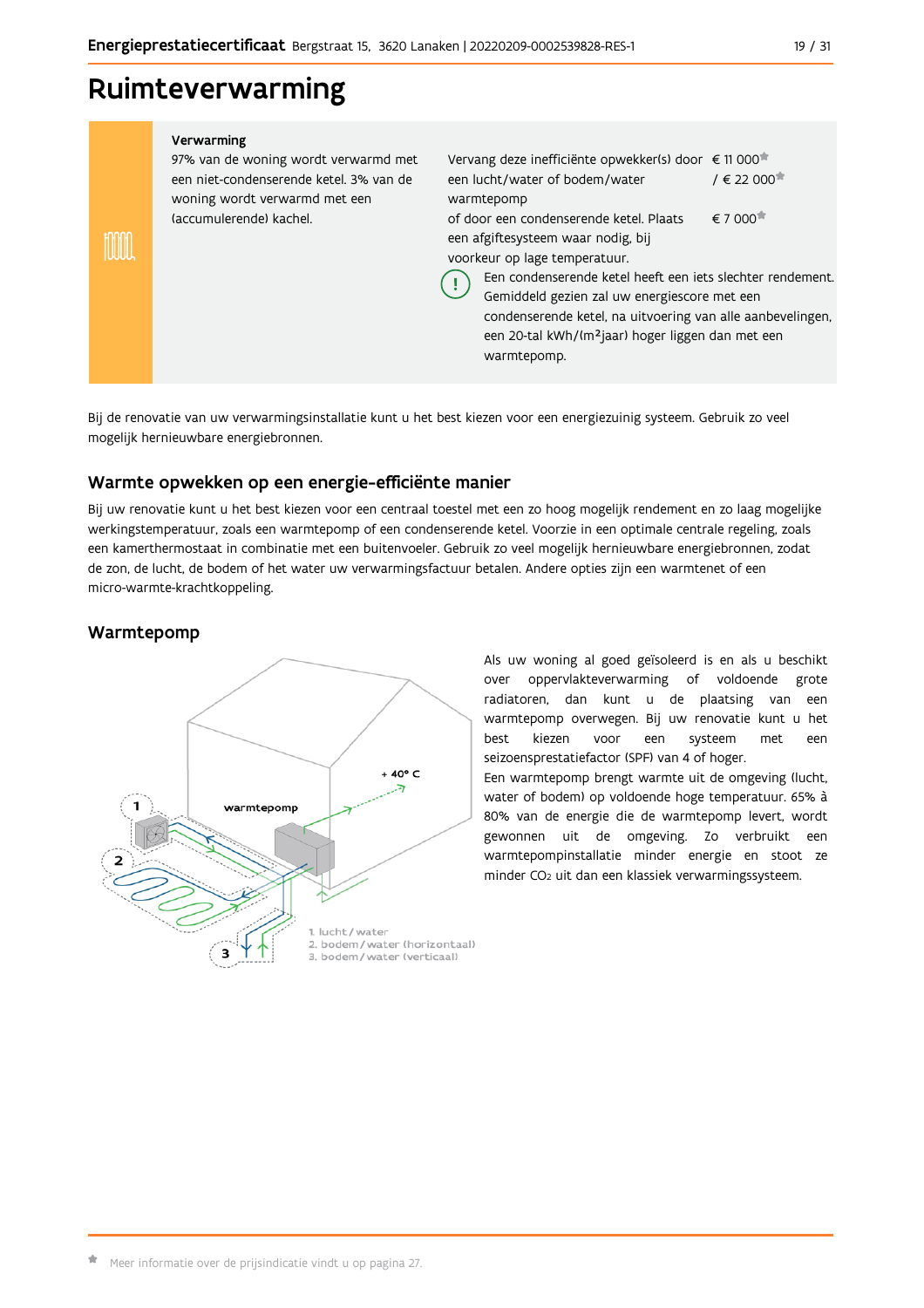## Ruimteverwarming

| Verwarming<br>97% van de woning wordt verwarmd met<br>een niet-condenserende ketel. 3% van de<br>woning wordt verwarmd met een<br>(accumulerende) kachel. | Vervang deze inefficiënte opwekker(s) door € 11 000 <sup>*</sup><br>$/ \in 22000$<br>een lucht/water of bodem/water<br>warmtepomp<br>€ 7 000 <sup><math>*</math></sup><br>of door een condenserende ketel. Plaats<br>een afgiftesysteem waar nodig, bij<br>voorkeur op lage temperatuur.<br>Een condenserende ketel heeft een iets slechter rendement.<br>Gemiddeld gezien zal uw energiescore met een<br>condenserende ketel, na uitvoering van alle aanbevelingen,<br>een 20-tal kWh/(m <sup>2</sup> jaar) hoger liggen dan met een<br>warmtepomp. |  |
|-----------------------------------------------------------------------------------------------------------------------------------------------------------|------------------------------------------------------------------------------------------------------------------------------------------------------------------------------------------------------------------------------------------------------------------------------------------------------------------------------------------------------------------------------------------------------------------------------------------------------------------------------------------------------------------------------------------------------|--|
|                                                                                                                                                           |                                                                                                                                                                                                                                                                                                                                                                                                                                                                                                                                                      |  |

Bij de renovatie van uw verwarmingsinstallatie kunt u het best kiezen voor een energiezuinig systeem. Gebruik zo veel mogelijk hernieuwbare energiebronnen.

#### Warmte opwekken op een energie-efficiënte manier

Bij uw renovatie kunt u het best kiezen voor een centraal toestel met een zo hoog mogelijk rendement en zo laag mogelijke werkingstemperatuur, zoals een warmtepomp of een condenserende ketel. Voorzie in een optimale centrale regeling, zoals een kamerthermostaat in combinatie met een buitenvoeler. Gebruik zo veel mogelijk hernieuwbare energiebronnen, zodat de zon, de lucht, de bodem of het water uw verwarmingsfactuur betalen. Andere opties zijn een warmtenet of een micro-warmte-krachtkoppeling.

### Warmtepomp



Als uw woning al goed geïsoleerd is en als u beschikt over oppervlakteverwarming of voldoende grote radiatoren, dan kunt u de plaatsing van een warmtepomp overwegen. Bij uw renovatie kunt u het hest kiezen voor een systeem met een seizoensprestatiefactor (SPF) van 4 of hoger. Een warmtepomp brengt warmte uit de omgeving (lucht, water of bodem) op voldoende hoge temperatuur. 65% à 80% van de energie die de warmtepomp levert, wordt gewonnen uit de omgeving. Zo verbruikt een warmtepompinstallatie minder energie en stoot ze minder CO<sub>2</sub> uit dan een klassiek verwarmingssysteem.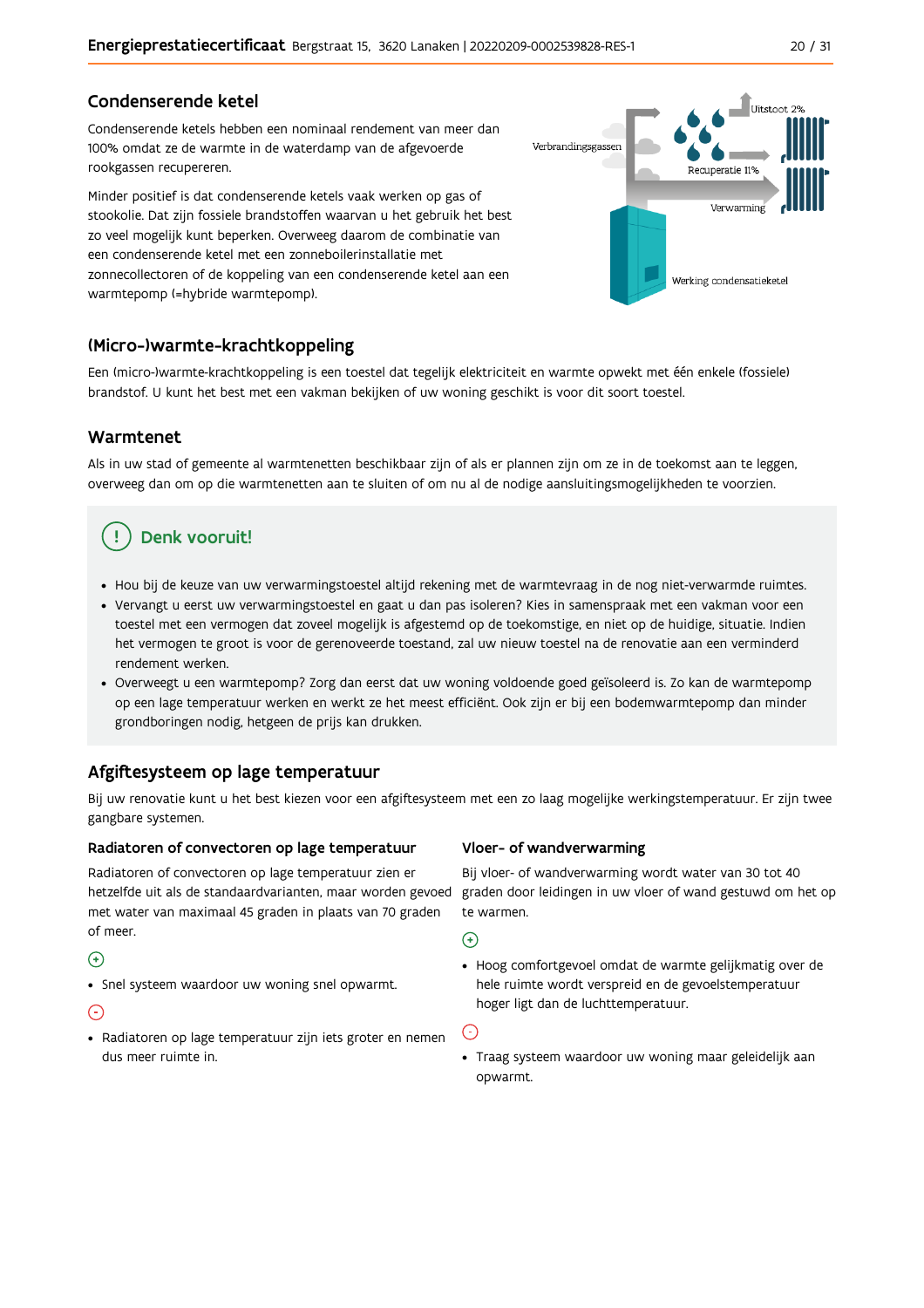#### Condenserende ketel

Condenserende ketels hebben een nominaal rendement van meer dan 100% omdat ze de warmte in de waterdamp van de afgevoerde rookgassen recupereren.

Minder positief is dat condenserende ketels vaak werken op gas of stookolie. Dat zijn fossiele brandstoffen waarvan u het gebruik het best zo veel mogelijk kunt beperken. Overweeg daarom de combinatie van een condenserende ketel met een zonneboilerinstallatie met zonnecollectoren of de koppeling van een condenserende ketel aan een warmtepomp (=hybride warmtepomp).



#### (Micro-)warmte-krachtkoppeling

Een (micro-)warmte-krachtkoppeling is een toestel dat tegelijk elektriciteit en warmte opwekt met één enkele (fossiele) brandstof. U kunt het best met een vakman bekijken of uw woning geschikt is voor dit soort toestel.

#### Warmtenet

Als in uw stad of gemeente al warmtenetten beschikbaar zijn of als er plannen zijn om ze in de toekomst aan te leggen, overweeg dan om op die warmtenetten aan te sluiten of om nu al de nodige aansluitingsmogelijkheden te voorzien.

## Denk vooruit!

- · Hou bij de keuze van uw verwarmingstoestel altijd rekening met de warmtevraag in de nog niet-verwarmde ruimtes.
- Vervangt u eerst uw verwarmingstoestel en gaat u dan pas isoleren? Kies in samenspraak met een vakman voor een toestel met een vermogen dat zoveel mogelijk is afgestemd op de toekomstige, en niet op de huidige, situatie. Indien het vermogen te groot is voor de gerenoveerde toestand, zal uw nieuw toestel na de renovatie aan een verminderd rendement werken
- · Overweegt u een warmtepomp? Zorg dan eerst dat uw woning voldoende goed geïsoleerd is. Zo kan de warmtepomp op een lage temperatuur werken en werkt ze het meest efficiënt. Ook zijn er bij een bodemwarmtepomp dan minder grondboringen nodig, hetgeen de prijs kan drukken.

### Afgiftesysteem op lage temperatuur

Bij uw renovatie kunt u het best kiezen voor een afgiftesysteem met een zo laag mogelijke werkingstemperatuur. Er zijn twee gangbare systemen.

#### Radiatoren of convectoren op lage temperatuur

Radiatoren of convectoren op lage temperatuur zien er hetzelfde uit als de standaardvarianten, maar worden gevoed met water van maximaal 45 graden in plaats van 70 graden of meer.

#### $\bigoplus$

• Snel systeem waardoor uw woning snel opwarmt.

#### $\odot$

· Radiatoren op lage temperatuur zijn iets groter en nemen dus meer ruimte in.

#### Vloer- of wandverwarming

Bij vloer- of wandverwarming wordt water van 30 tot 40 graden door leidingen in uw vloer of wand gestuwd om het op te warmen.

 $\bigodot$ 

• Hoog comfortgevoel omdat de warmte gelijkmatig over de hele ruimte wordt verspreid en de gevoelstemperatuur hoger ligt dan de luchttemperatuur.

 $\bigodot$ 

· Traag systeem waardoor uw woning maar geleidelijk aan opwarmt.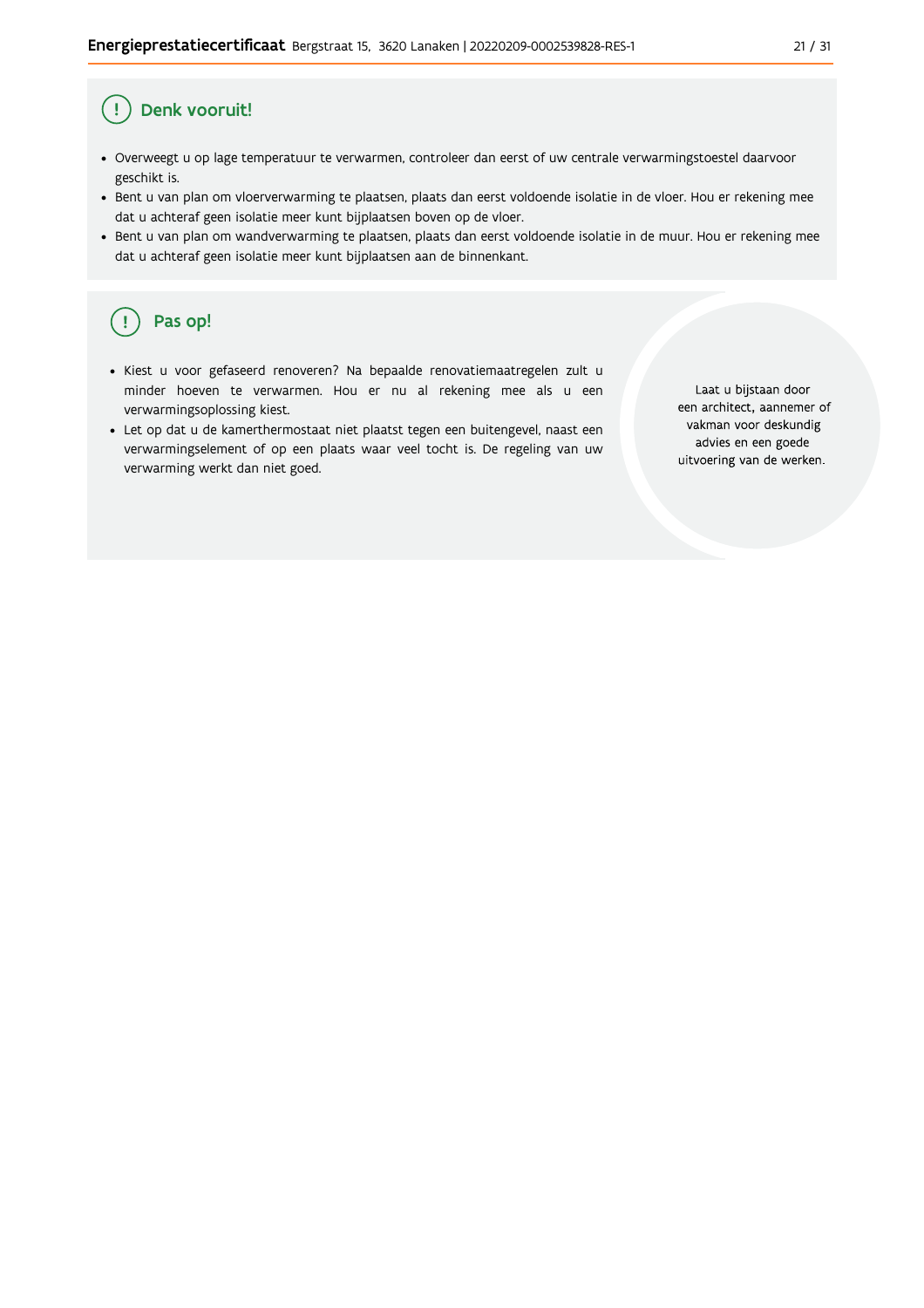#### Ţ Denk vooruit!

- · Overweegt u op lage temperatuur te verwarmen, controleer dan eerst of uw centrale verwarmingstoestel daarvoor geschikt is.
- Bent u van plan om vloerverwarming te plaatsen, plaats dan eerst voldoende isolatie in de vloer. Hou er rekening mee dat u achteraf geen isolatie meer kunt bijplaatsen boven op de vloer.
- · Bent u van plan om wandverwarming te plaatsen, plaats dan eerst voldoende isolatie in de muur. Hou er rekening mee dat u achteraf geen isolatie meer kunt bijplaatsen aan de binnenkant.

#### ้ <u>เ</u> Pas op!

- · Kiest u voor gefaseerd renoveren? Na bepaalde renovatiemaatregelen zult u minder hoeven te verwarmen. Hou er nu al rekening mee als u een verwarmingsoplossing kiest.
- · Let op dat u de kamerthermostaat niet plaatst tegen een buitengevel, naast een verwarmingselement of op een plaats waar veel tocht is. De regeling van uw verwarming werkt dan niet goed.

Laat u bijstaan door een architect, aannemer of vakman voor deskundig advies en een goede uitvoering van de werken.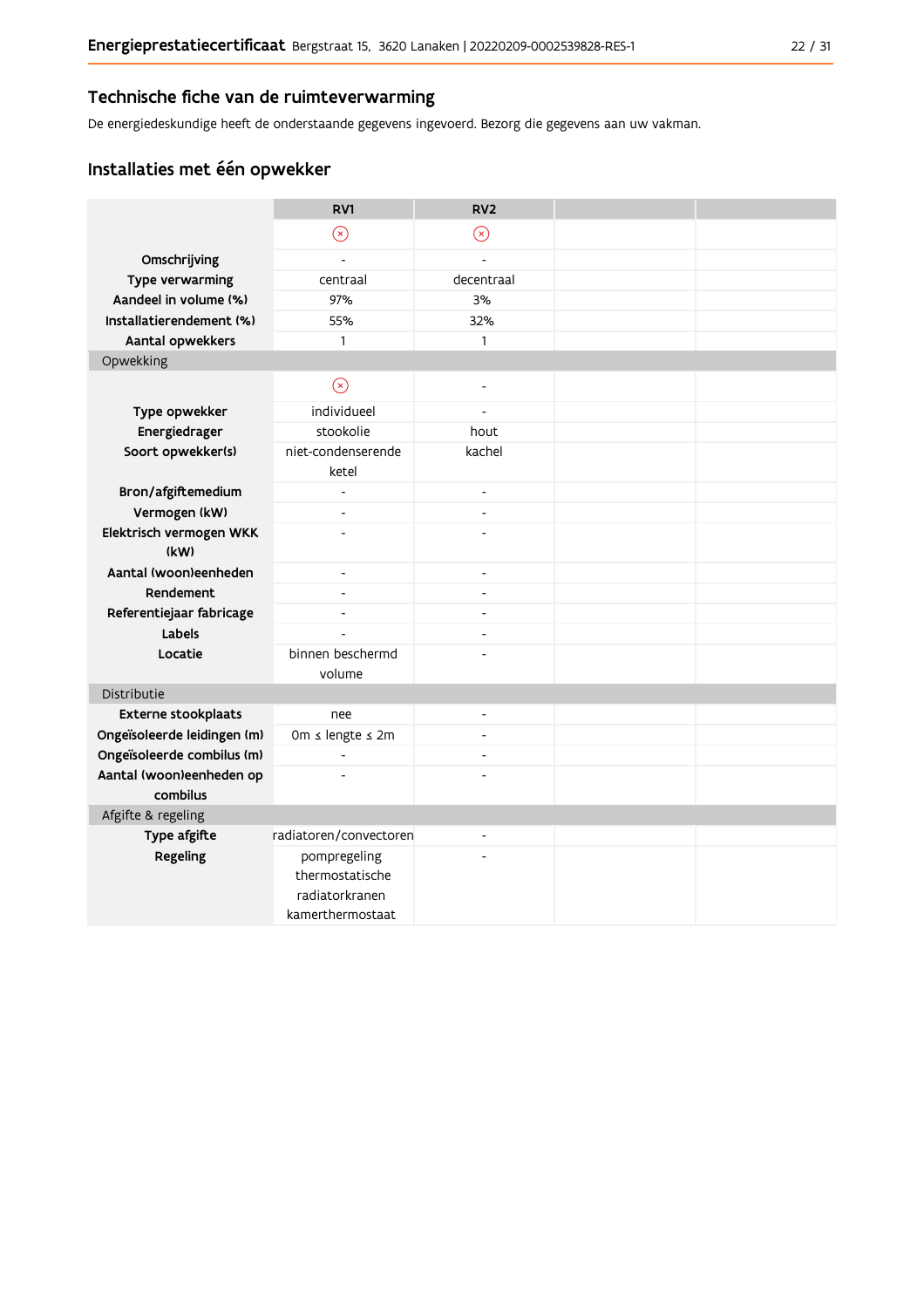#### Technische fiche van de ruimteverwarming

De energiedeskundige heeft de onderstaande gegevens ingevoerd. Bezorg die gegevens aan uw vakman.

## Installaties met één opwekker

|                                      | RV1                         | RV <sub>2</sub>          |  |
|--------------------------------------|-----------------------------|--------------------------|--|
|                                      | $\odot$                     | $\odot$                  |  |
| Omschrijving                         | $\overline{a}$              | $\overline{\phantom{a}}$ |  |
| Type verwarming                      | centraal                    | decentraal               |  |
| Aandeel in volume (%)                | 97%                         | 3%                       |  |
| Installatierendement (%)             | 55%                         | 32%                      |  |
| Aantal opwekkers                     | $\mathbf{1}$                | $\mathbf{1}$             |  |
| Opwekking                            |                             |                          |  |
|                                      | $\circledS$                 | $\blacksquare$           |  |
| Type opwekker                        | individueel                 | $\overline{a}$           |  |
| Energiedrager                        | stookolie                   | hout                     |  |
| Soort opwekker(s)                    | niet-condenserende<br>ketel | kachel                   |  |
| Bron/afgiftemedium                   | $\blacksquare$              | $\overline{\phantom{a}}$ |  |
| Vermogen (kW)                        | $\overline{\phantom{a}}$    | $\overline{\phantom{a}}$ |  |
| Elektrisch vermogen WKK<br>(kW)      |                             | ÷,                       |  |
| Aantal (woon)eenheden                | $\overline{\phantom{a}}$    | $\overline{\phantom{a}}$ |  |
| Rendement                            | $\overline{a}$              | $\overline{\phantom{a}}$ |  |
| Referentiejaar fabricage             | $\overline{a}$              | $\overline{a}$           |  |
| Labels                               |                             | $\overline{a}$           |  |
| Locatie                              | binnen beschermd<br>volume  |                          |  |
| Distributie                          |                             |                          |  |
| Externe stookplaats                  | nee                         | $\blacksquare$           |  |
| Ongeïsoleerde leidingen (m)          | 0m ≤ lengte ≤ 2m            | $\overline{a}$           |  |
| Ongeïsoleerde combilus (m)           | $\overline{a}$              | $\overline{\phantom{a}}$ |  |
| Aantal (woon)eenheden op<br>combilus |                             |                          |  |
| Afgifte & regeling                   |                             |                          |  |
| Type afgifte                         | radiatoren/convectoren      | $\overline{a}$           |  |
| Regeling                             | pompregeling                |                          |  |
|                                      | thermostatische             |                          |  |
|                                      | radiatorkranen              |                          |  |
|                                      | kamerthermostaat            |                          |  |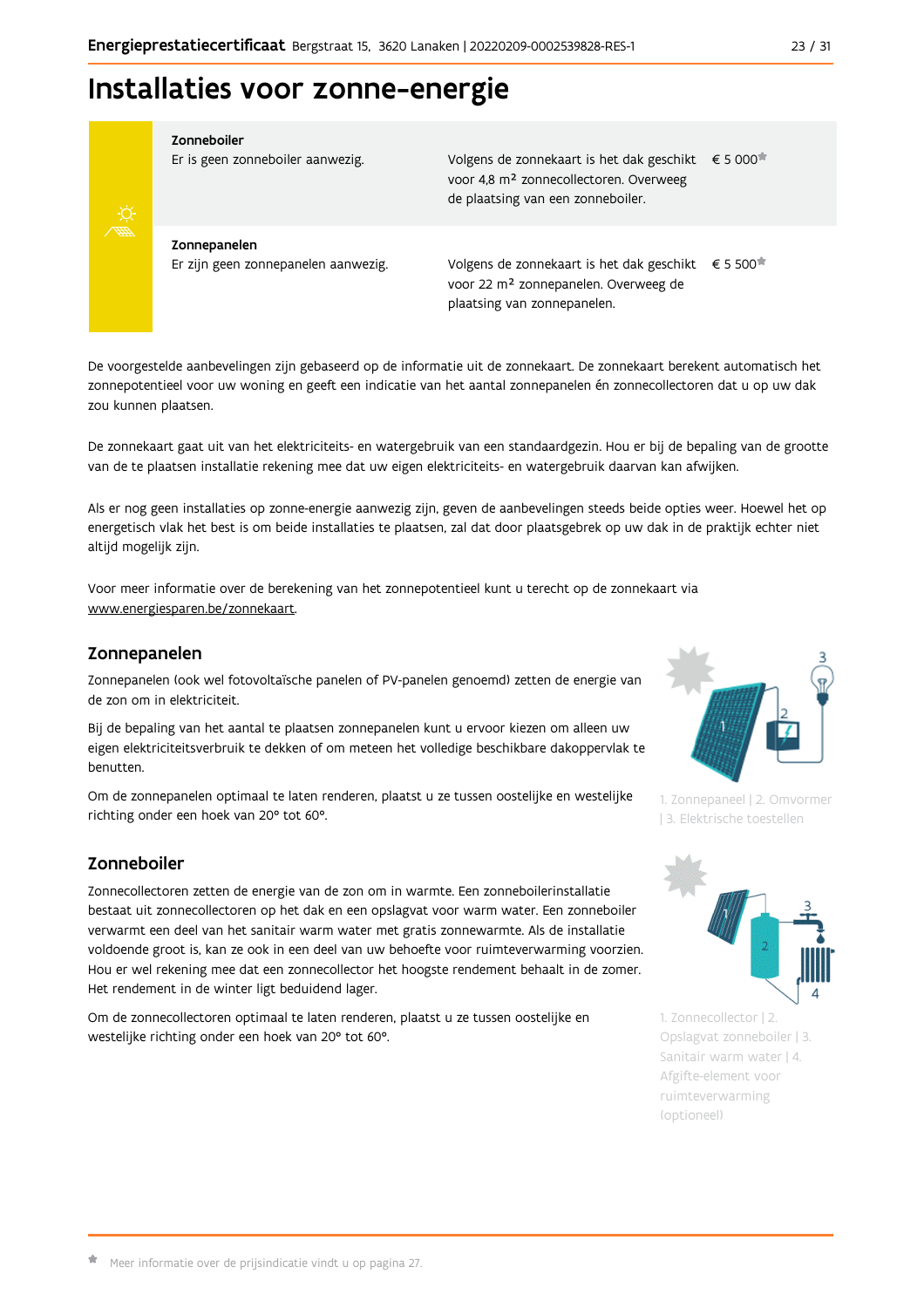

Zonneboiler

Er is geen zonneboiler aanwezig.

Volgens de zonnekaart is het dak geschikt € 5 000 voor 4,8 m<sup>2</sup> zonnecollectoren. Overweeg de plaatsing van een zonneboiler.

Zonnepanelen Er zijn geen zonnepanelen aanwezig.

Volgens de zonnekaart is het dak geschikt  $\epsilon$  5 500<sup> $\star$ </sup> voor 22 m<sup>2</sup> zonnepanelen. Overweeg de plaatsing van zonnepanelen.

De voorgestelde aanbevelingen zijn gebaseerd op de informatie uit de zonnekaart. De zonnekaart berekent automatisch het zonnepotentieel voor uw woning en geeft een indicatie van het aantal zonnepanelen én zonnecollectoren dat u op uw dak zou kunnen plaatsen.

De zonnekaart gaat uit van het elektriciteits- en watergebruik van een standaardgezin. Hou er bij de bepaling van de grootte van de te plaatsen installatie rekening mee dat uw eigen elektriciteits- en watergebruik daarvan kan afwijken.

Als er nog geen installaties op zonne-energie aanwezig zijn, geven de aanbevelingen steeds beide opties weer. Hoewel het op energetisch vlak het best is om beide installaties te plaatsen, zal dat door plaatsgebrek op uw dak in de praktijk echter niet altijd mogelijk zijn.

Voor meer informatie over de berekening van het zonnepotentieel kunt u terecht op de zonnekaart via www.energiesparen.be/zonnekaart.

#### Zonnepanelen

Zonnepanelen (ook wel fotovoltaïsche panelen of PV-panelen genoemd) zetten de energie van de zon om in elektriciteit.

Bij de bepaling van het aantal te plaatsen zonnepanelen kunt u ervoor kiezen om alleen uw eigen elektriciteitsverbruik te dekken of om meteen het volledige beschikbare dakoppervlak te benutten.

Om de zonnepanelen optimaal te laten renderen, plaatst u ze tussen oostelijke en westelijke richting onder een hoek van 20° tot 60°.

### Zonneboiler

Zonnecollectoren zetten de energie van de zon om in warmte. Een zonneboilerinstallatie bestaat uit zonnecollectoren op het dak en een opslagvat voor warm water. Een zonneboiler verwarmt een deel van het sanitair warm water met gratis zonnewarmte. Als de installatie voldoende groot is, kan ze ook in een deel van uw behoefte voor ruimteverwarming voorzien. Hou er wel rekening mee dat een zonnecollector het hoogste rendement behaalt in de zomer. Het rendement in de winter ligt beduidend lager.

Om de zonnecollectoren optimaal te laten renderen, plaatst u ze tussen oostelijke en westelijke richting onder een hoek van 20° tot 60°.



1. Zonnepaneel | 2. Omvormer | 3. Elektrische toestellen



1. Zonnecollector | 2. Opslagvat zonneboiler | 3. Sanitair warm water | 4. Afgifte-element voor ruimteverwarming (optioneel)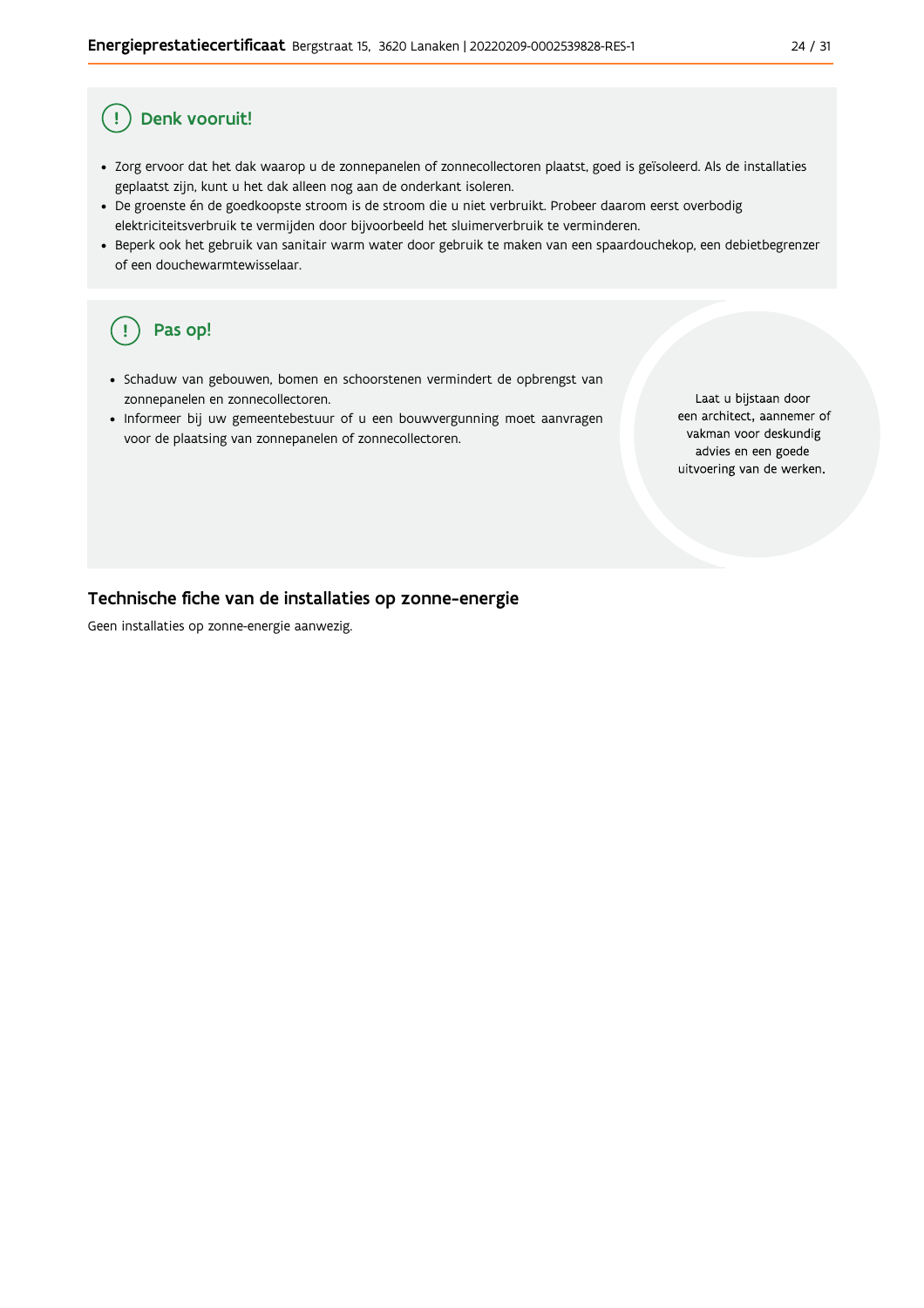#### Denk vooruit! Ţ

- · Zorg ervoor dat het dak waarop u de zonnepanelen of zonnecollectoren plaatst, goed is geïsoleerd. Als de installaties geplaatst zijn, kunt u het dak alleen nog aan de onderkant isoleren.
- · De groenste én de goedkoopste stroom is de stroom die u niet verbruikt. Probeer daarom eerst overbodig elektriciteitsverbruik te vermijden door bijvoorbeeld het sluimerverbruik te verminderen.
- · Beperk ook het gebruik van sanitair warm water door gebruik te maken van een spaardouchekop, een debietbegrenzer of een douchewarmtewisselaar.

#### Pas op! ( !

- · Schaduw van gebouwen, bomen en schoorstenen vermindert de opbrengst van zonnepanelen en zonnecollectoren.
- Informeer bij uw gemeentebestuur of u een bouwvergunning moet aanvragen voor de plaatsing van zonnepanelen of zonnecollectoren.

Laat u bijstaan door een architect, aannemer of vakman voor deskundig advies en een goede uitvoering van de werken.

#### Technische fiche van de installaties op zonne-energie

Geen installaties op zonne-energie aanwezig.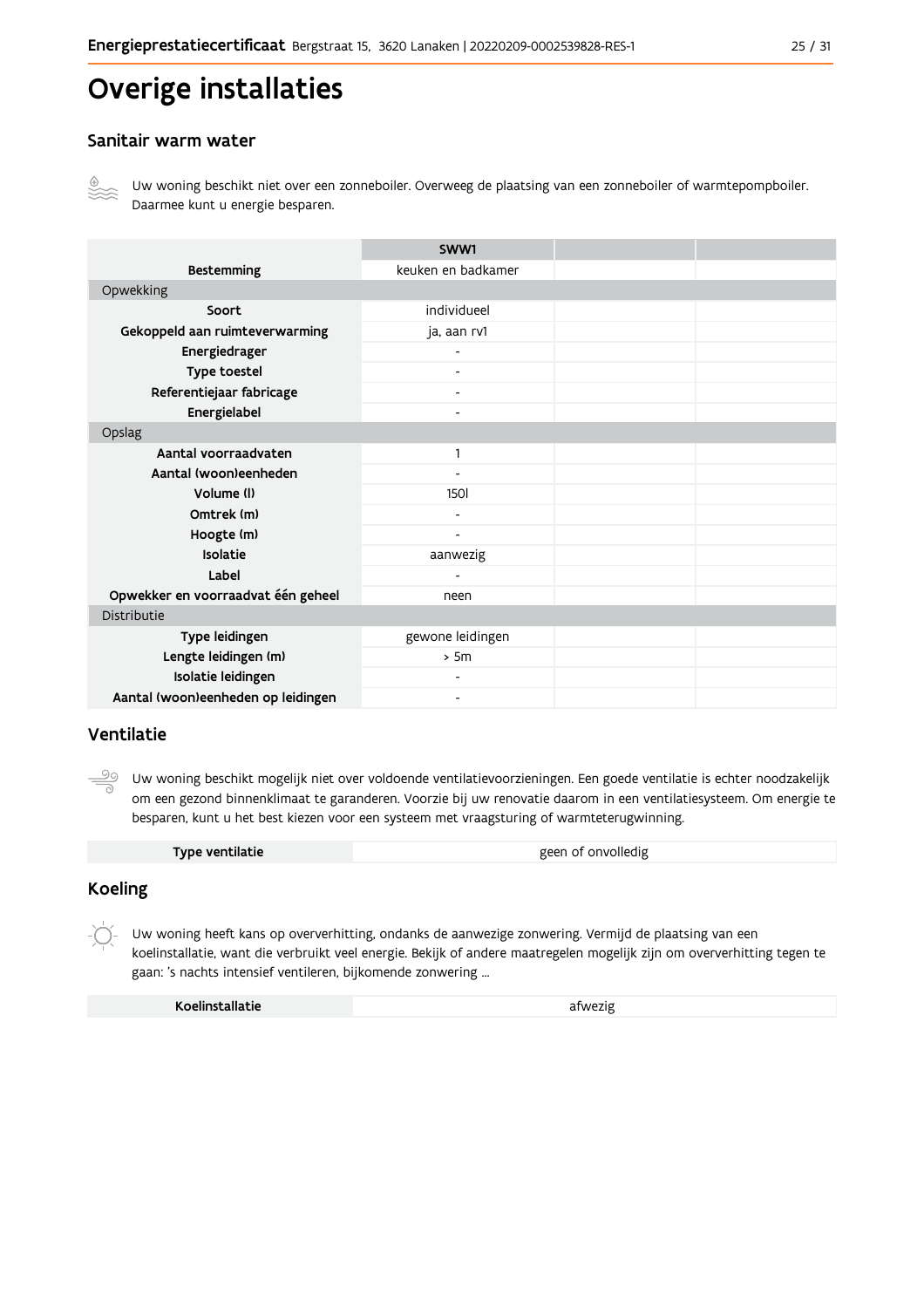# Overige installaties

#### Sanitair warm water



Uw woning beschikt niet over een zonneboiler. Overweeg de plaatsing van een zonneboiler of warmtepompboiler. Daarmee kunt u energie besparen.

|                                    | SWW1                     |  |  |  |  |
|------------------------------------|--------------------------|--|--|--|--|
| <b>Bestemming</b>                  | keuken en badkamer       |  |  |  |  |
| Opwekking                          |                          |  |  |  |  |
| Soort                              | individueel              |  |  |  |  |
| Gekoppeld aan ruimteverwarming     | ja, aan rv1              |  |  |  |  |
| Energiedrager                      |                          |  |  |  |  |
| Type toestel                       |                          |  |  |  |  |
| Referentiejaar fabricage           | -                        |  |  |  |  |
| Energielabel                       | $\overline{\phantom{a}}$ |  |  |  |  |
| Opslag                             |                          |  |  |  |  |
| Aantal voorraadvaten               | 1                        |  |  |  |  |
| Aantal (woon)eenheden              |                          |  |  |  |  |
| Volume (I)                         | <b>1501</b>              |  |  |  |  |
| Omtrek (m)                         | $\blacksquare$           |  |  |  |  |
| Hoogte (m)                         | $\overline{\phantom{a}}$ |  |  |  |  |
| Isolatie                           | aanwezig                 |  |  |  |  |
| Label                              |                          |  |  |  |  |
| Opwekker en voorraadvat één geheel | neen                     |  |  |  |  |
| Distributie                        |                          |  |  |  |  |
| Type leidingen                     | gewone leidingen         |  |  |  |  |
| Lengte leidingen (m)               | > 5m                     |  |  |  |  |
| Isolatie leidingen                 |                          |  |  |  |  |
| Aantal (woon)eenheden op leidingen | $\overline{\phantom{a}}$ |  |  |  |  |

#### Ventilatie

<u>99</u> Uw woning beschikt mogelijk niet over voldoende ventilatievoorzieningen. Een goede ventilatie is echter noodzakelijk om een gezond binnenklimaat te garanderen. Voorzie bij uw renovatie daarom in een ventilatiesysteem. Om energie te besparen, kunt u het best kiezen voor een systeem met vraagsturing of warmteterugwinning.

#### **Koeling**

 $-\bigcirc$ Uw woning heeft kans op oververhitting, ondanks de aanwezige zonwering. Vermijd de plaatsing van een koelinstallatie, want die verbruikt veel energie. Bekijk of andere maatregelen mogelijk zijn om oververhitting tegen te gaan: 's nachts intensief ventileren, bijkomende zonwering ...

| Koelinstallatie | afwezig |
|-----------------|---------|
|                 |         |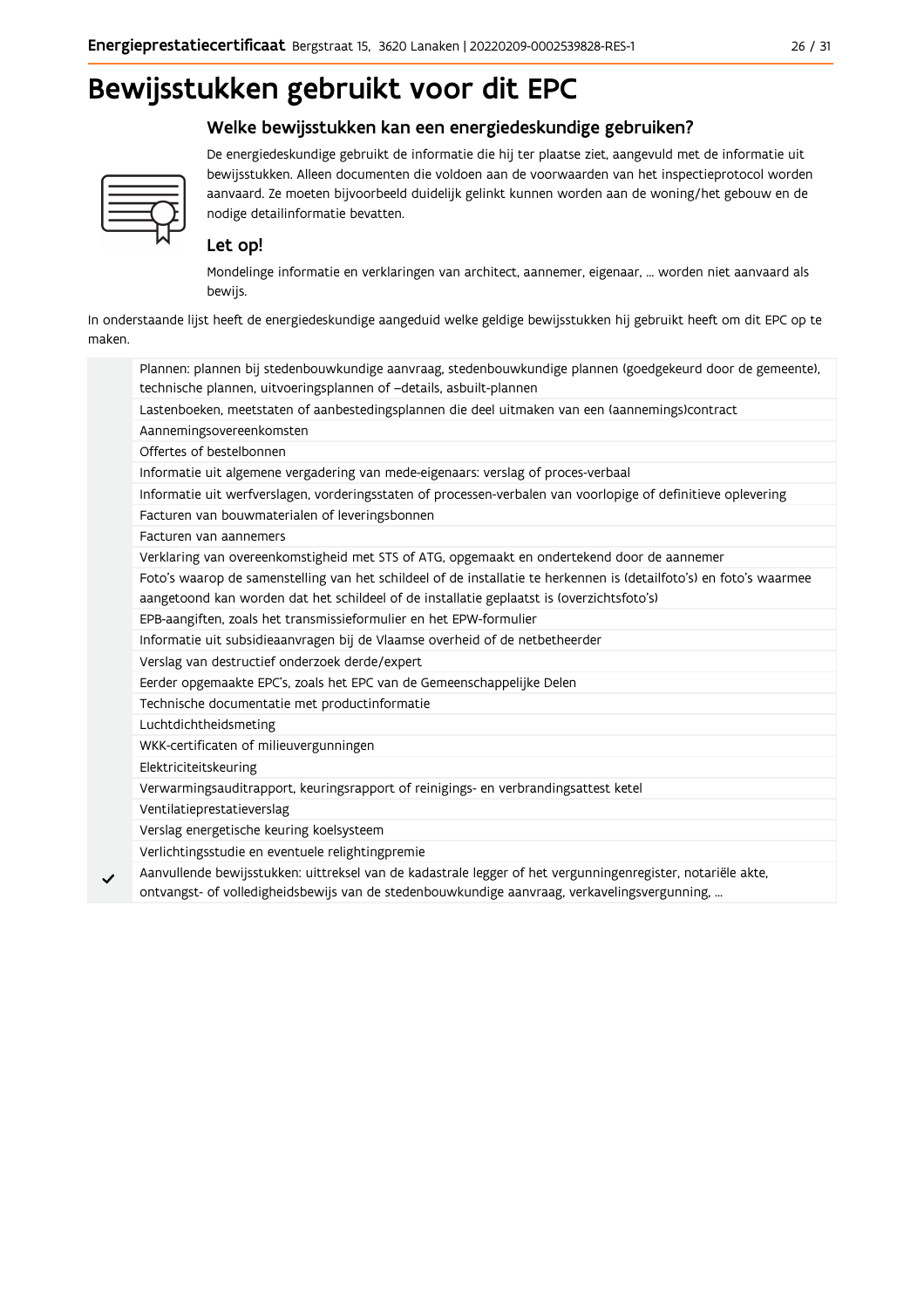# Bewijsstukken gebruikt voor dit EPC

### Welke bewijsstukken kan een energiedeskundige gebruiken?



De energiedeskundige gebruikt de informatie die hij ter plaatse ziet, aangevuld met de informatie uit bewijsstukken. Alleen documenten die voldoen aan de voorwaarden van het inspectieprotocol worden aanvaard. Ze moeten bijvoorbeeld duidelijk gelinkt kunnen worden aan de woning/het gebouw en de nodige detailinformatie bevatten.

### Let op!

Mondelinge informatie en verklaringen van architect, aannemer, eigenaar, ... worden niet aanvaard als bewijs.

In onderstaande lijst heeft de energiedeskundige aangeduid welke geldige bewijsstukken hij gebruikt heeft om dit EPC op te maken.

| Plannen: plannen bij stedenbouwkundige aanvraag, stedenbouwkundige plannen (goedgekeurd door de gemeente),                                                                                                       |
|------------------------------------------------------------------------------------------------------------------------------------------------------------------------------------------------------------------|
| technische plannen, uitvoeringsplannen of -details, asbuilt-plannen                                                                                                                                              |
| Lastenboeken, meetstaten of aanbestedingsplannen die deel uitmaken van een (aannemings)contract                                                                                                                  |
| Aannemingsovereenkomsten                                                                                                                                                                                         |
| Offertes of bestelbonnen                                                                                                                                                                                         |
| Informatie uit algemene vergadering van mede-eigenaars: verslag of proces-verbaal                                                                                                                                |
| Informatie uit werfverslagen, vorderingsstaten of processen-verbalen van voorlopige of definitieve oplevering                                                                                                    |
| Facturen van bouwmaterialen of leveringsbonnen                                                                                                                                                                   |
| Facturen van aannemers                                                                                                                                                                                           |
| Verklaring van overeenkomstigheid met STS of ATG, opgemaakt en ondertekend door de aannemer                                                                                                                      |
| Foto's waarop de samenstelling van het schildeel of de installatie te herkennen is (detailfoto's) en foto's waarmee<br>aangetoond kan worden dat het schildeel of de installatie geplaatst is (overzichtsfoto's) |
| EPB-aangiften, zoals het transmissieformulier en het EPW-formulier                                                                                                                                               |
| Informatie uit subsidieaanvragen bij de Vlaamse overheid of de netbetheerder                                                                                                                                     |
| Verslag van destructief onderzoek derde/expert                                                                                                                                                                   |
| Eerder opgemaakte EPC's, zoals het EPC van de Gemeenschappelijke Delen                                                                                                                                           |
| Technische documentatie met productinformatie                                                                                                                                                                    |
| Luchtdichtheidsmeting                                                                                                                                                                                            |
| WKK-certificaten of milieuvergunningen                                                                                                                                                                           |
| Elektriciteitskeuring                                                                                                                                                                                            |
| Verwarmingsauditrapport, keuringsrapport of reinigings- en verbrandingsattest ketel                                                                                                                              |
| Ventilatieprestatieverslag                                                                                                                                                                                       |
| Verslag energetische keuring koelsysteem                                                                                                                                                                         |
| Verlichtingsstudie en eventuele relightingpremie                                                                                                                                                                 |
| Aanvullende bewijsstukken: uittreksel van de kadastrale legger of het vergunningenregister, notariële akte,<br>ontvangst- of volledigheidsbewijs van de stedenbouwkundige aanvraag, verkavelingsvergunning,      |
|                                                                                                                                                                                                                  |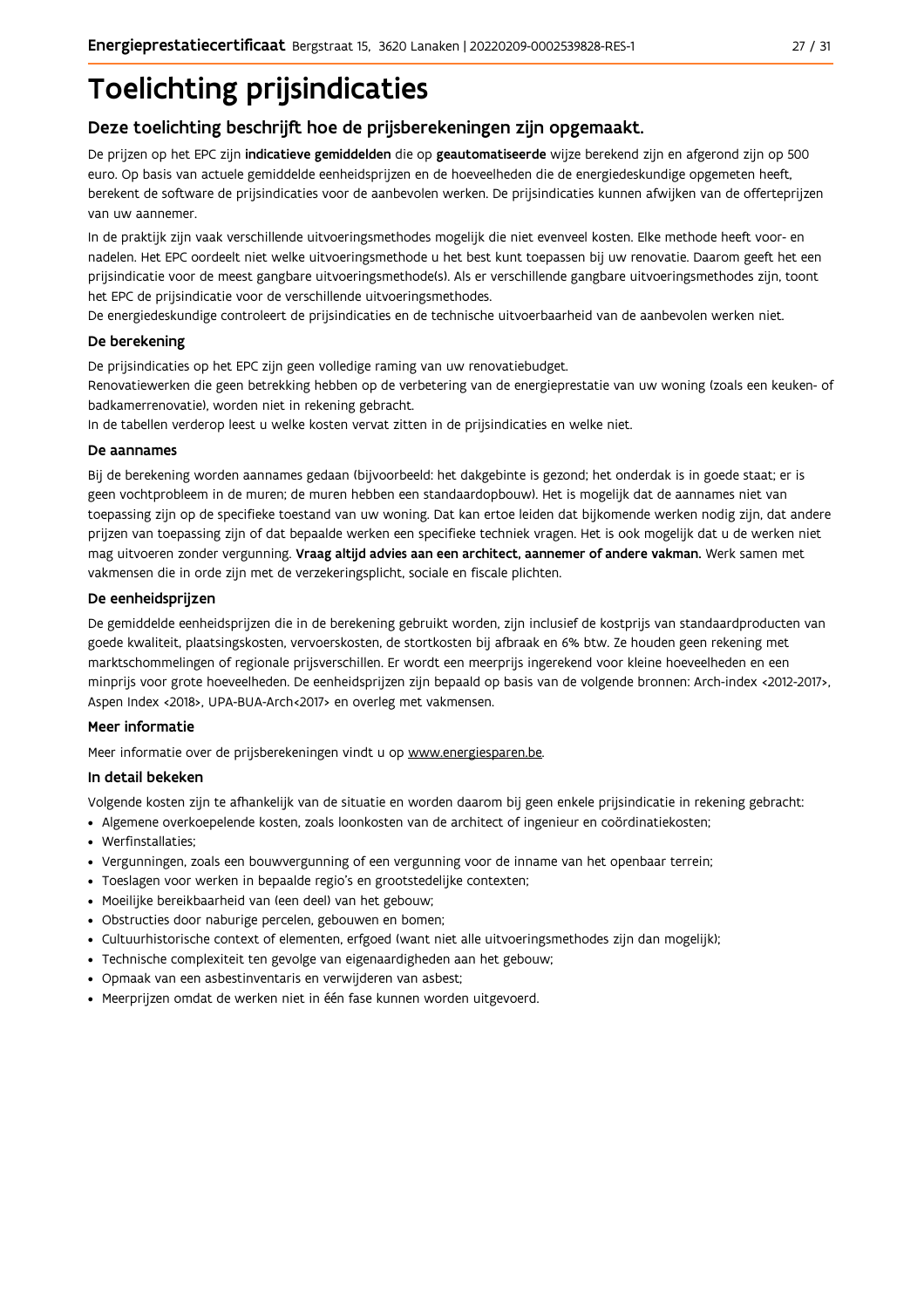# **Toelichting prijsindicaties**

### Deze toelichting beschrijft hoe de prijsberekeningen zijn opgemaakt.

De prijzen op het EPC zijn indicatieve gemiddelden die op geautomatiseerde wijze berekend zijn en afgerond zijn op 500 euro. Op basis van actuele gemiddelde eenheidsprijzen en de hoeveelheden die de energiedeskundige opgemeten heeft, berekent de software de prijsindicaties voor de aanbevolen werken. De prijsindicaties kunnen afwijken van de offerteprijzen van uw aannemer.

In de praktijk zijn vaak verschillende uitvoeringsmethodes mogelijk die niet evenveel kosten. Elke methode heeft voor- en nadelen. Het EPC oordeelt niet welke uitvoeringsmethode u het best kunt toepassen bij uw renovatie. Daarom geeft het een prijsindicatie voor de meest gangbare uitvoeringsmethode(s). Als er verschillende gangbare uitvoeringsmethodes zijn, toont het EPC de prijsindicatie voor de verschillende uitvoeringsmethodes.

De energiedeskundige controleert de prijsindicaties en de technische uitvoerbaarheid van de aanbevolen werken niet.

#### De berekening

De prijsindicaties op het EPC zijn geen volledige raming van uw renovatiebudget.

Renovatiewerken die geen betrekking hebben op de verbetering van de energieprestatie van uw woning (zoals een keuken- of badkamerrenovatie), worden niet in rekening gebracht.

In de tabellen verderop leest u welke kosten vervat zitten in de prijsindicaties en welke niet.

#### De aannames

Bij de berekening worden aannames gedaan (bijvoorbeeld: het dakgebinte is gezond; het onderdak is in goede staat; er is geen vochtprobleem in de muren; de muren hebben een standaardopbouw). Het is mogelijk dat de aannames niet van toepassing zijn op de specifieke toestand van uw woning. Dat kan ertoe leiden dat bijkomende werken nodig zijn, dat andere prijzen van toepassing zijn of dat bepaalde werken een specifieke techniek vragen. Het is ook mogelijk dat u de werken niet mag uitvoeren zonder vergunning. Vraag altijd advies aan een architect, aannemer of andere vakman. Werk samen met vakmensen die in orde zijn met de verzekeringsplicht, sociale en fiscale plichten.

#### De eenheidsprijzen

De gemiddelde eenheidspriizen die in de berekening gebruikt worden, zijn inclusief de kostpriis van standaardproducten van goede kwaliteit, plaatsingskosten, vervoerskosten, de stortkosten bij afbraak en 6% btw. Ze houden geen rekening met marktschommelingen of regionale prijsverschillen. Er wordt een meerprijs ingerekend voor kleine hoeveelheden en een minprijs voor grote hoeveelheden. De eenheidsprijzen zijn bepaald op basis van de volgende bronnen: Arch-index <2012-2017>, Aspen Index <2018>, UPA-BUA-Arch<2017> en overleg met vakmensen.

#### Meer informatie

Meer informatie over de prijsberekeningen vindt u op www.energiesparen.be.

#### In detail bekeken

Volgende kosten zijn te afhankelijk van de situatie en worden daarom bij geen enkele prijsindicatie in rekening gebracht:

- Algemene overkoepelende kosten, zoals loonkosten van de architect of ingenieur en coördinatiekosten;
- Werfinstallaties:
- · Vergunningen, zoals een bouwvergunning of een vergunning voor de inname van het openbaar terrein;
- Toeslagen voor werken in bepaalde regio's en grootstedelijke contexten:
- · Moeilijke bereikbaarheid van (een deel) van het gebouw;
- · Obstructies door naburige percelen, gebouwen en bomen;
- · Cultuurhistorische context of elementen, erfgoed (want niet alle uitvoeringsmethodes zijn dan mogelijk);
- · Technische complexiteit ten gevolge van eigenaardigheden aan het gebouw;
- · Opmaak van een asbestinventaris en verwijderen van asbest;
- · Meerprijzen omdat de werken niet in één fase kunnen worden uitgevoerd.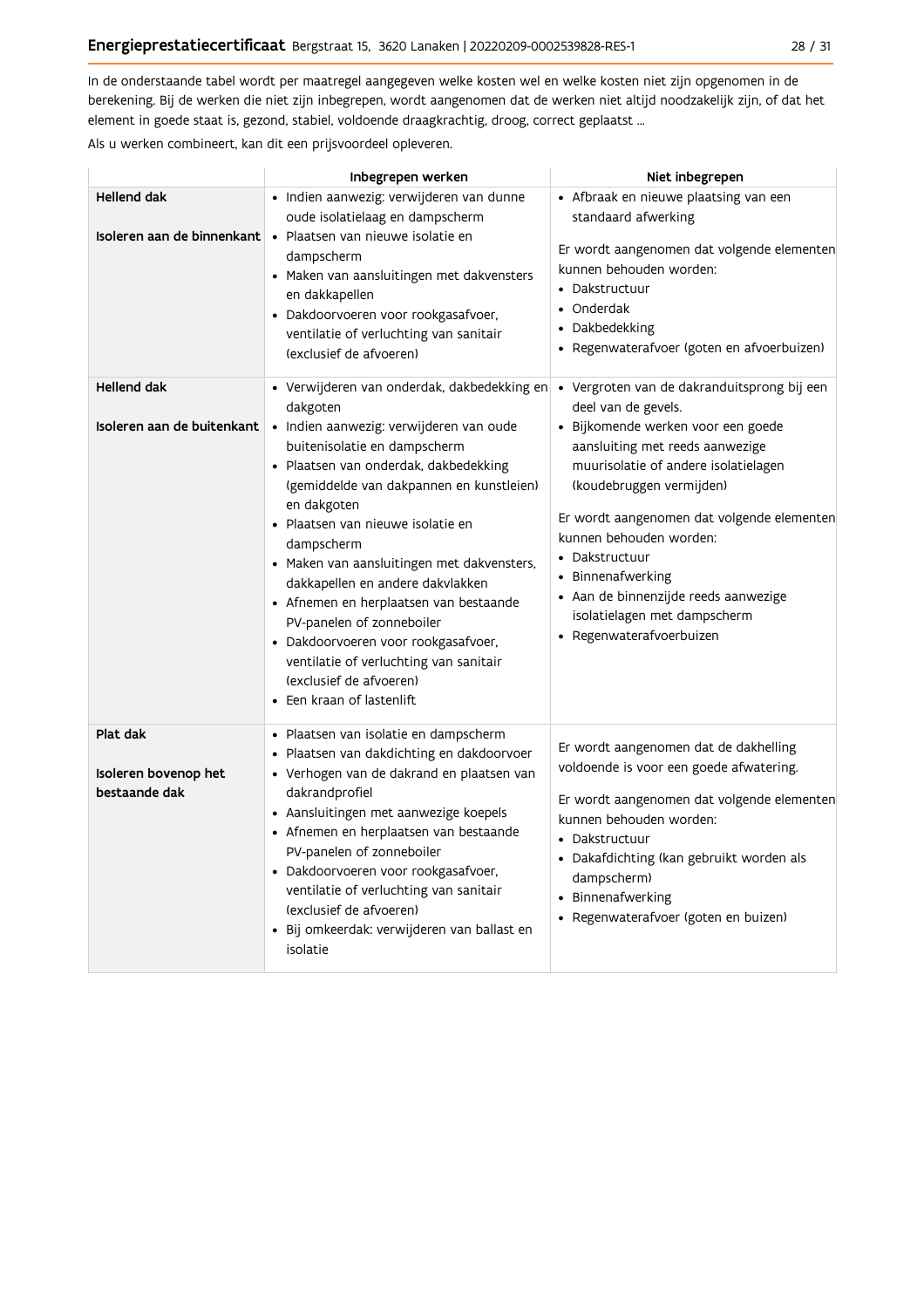In de onderstaande tabel wordt per maatregel aangegeven welke kosten wel en welke kosten niet zijn opgenomen in de berekening. Bij de werken die niet zijn inbegrepen, wordt aangenomen dat de werken niet altijd noodzakelijk zijn, of dat het element in goede staat is, gezond, stabiel, voldoende draagkrachtig, droog, correct geplaatst ...

Als u werken combineert, kan dit een prijsvoordeel opleveren.

|                                                   | Inbegrepen werken                                                                                                                                                                                                                                                                                                                                                                                                                                                                                                                                                                           | Niet inbegrepen                                                                                                                                                                                                                                                                                                                                                                                                                     |
|---------------------------------------------------|---------------------------------------------------------------------------------------------------------------------------------------------------------------------------------------------------------------------------------------------------------------------------------------------------------------------------------------------------------------------------------------------------------------------------------------------------------------------------------------------------------------------------------------------------------------------------------------------|-------------------------------------------------------------------------------------------------------------------------------------------------------------------------------------------------------------------------------------------------------------------------------------------------------------------------------------------------------------------------------------------------------------------------------------|
| <b>Hellend dak</b><br>Isoleren aan de binnenkant  | · Indien aanwezig: verwijderen van dunne<br>oude isolatielaag en dampscherm<br>• Plaatsen van nieuwe isolatie en<br>dampscherm<br>• Maken van aansluitingen met dakvensters<br>en dakkapellen<br>· Dakdoorvoeren voor rookgasafvoer,<br>ventilatie of verluchting van sanitair<br>(exclusief de afvoeren)                                                                                                                                                                                                                                                                                   | • Afbraak en nieuwe plaatsing van een<br>standaard afwerking<br>Er wordt aangenomen dat volgende elementen<br>kunnen behouden worden:<br>• Dakstructuur<br>• Onderdak<br>• Dakbedekking<br>· Regenwaterafvoer (goten en afvoerbuizen)                                                                                                                                                                                               |
| <b>Hellend dak</b><br>Isoleren aan de buitenkant  | • Verwijderen van onderdak, dakbedekking en<br>dakgoten<br>· Indien aanwezig: verwijderen van oude<br>buitenisolatie en dampscherm<br>· Plaatsen van onderdak, dakbedekking<br>(gemiddelde van dakpannen en kunstleien)<br>en dakgoten<br>• Plaatsen van nieuwe isolatie en<br>dampscherm<br>• Maken van aansluitingen met dakvensters,<br>dakkapellen en andere dakvlakken<br>• Afnemen en herplaatsen van bestaande<br>PV-panelen of zonneboiler<br>· Dakdoorvoeren voor rookgasafvoer,<br>ventilatie of verluchting van sanitair<br>(exclusief de afvoeren)<br>• Een kraan of lastenlift | · Vergroten van de dakranduitsprong bij een<br>deel van de gevels.<br>· Bijkomende werken voor een goede<br>aansluiting met reeds aanwezige<br>muurisolatie of andere isolatielagen<br>(koudebruggen vermijden)<br>Er wordt aangenomen dat volgende elementen<br>kunnen behouden worden:<br>• Dakstructuur<br>• Binnenafwerking<br>· Aan de binnenzijde reeds aanwezige<br>isolatielagen met dampscherm<br>• Regenwaterafvoerbuizen |
| Plat dak<br>Isoleren bovenop het<br>bestaande dak | • Plaatsen van isolatie en dampscherm<br>· Plaatsen van dakdichting en dakdoorvoer<br>· Verhogen van de dakrand en plaatsen van<br>dakrandprofiel<br>• Aansluitingen met aanwezige koepels<br>• Afnemen en herplaatsen van bestaande<br>PV-panelen of zonneboiler<br>· Dakdoorvoeren voor rookgasafvoer,<br>ventilatie of verluchting van sanitair<br>(exclusief de afvoeren)<br>· Bij omkeerdak: verwijderen van ballast en<br>isolatie                                                                                                                                                    | Er wordt aangenomen dat de dakhelling<br>voldoende is voor een goede afwatering.<br>Er wordt aangenomen dat volgende elementen<br>kunnen behouden worden:<br>• Dakstructuur<br>· Dakafdichting (kan gebruikt worden als<br>dampscherm)<br>• Binnenafwerking<br>• Regenwaterafvoer (goten en buizen)                                                                                                                                 |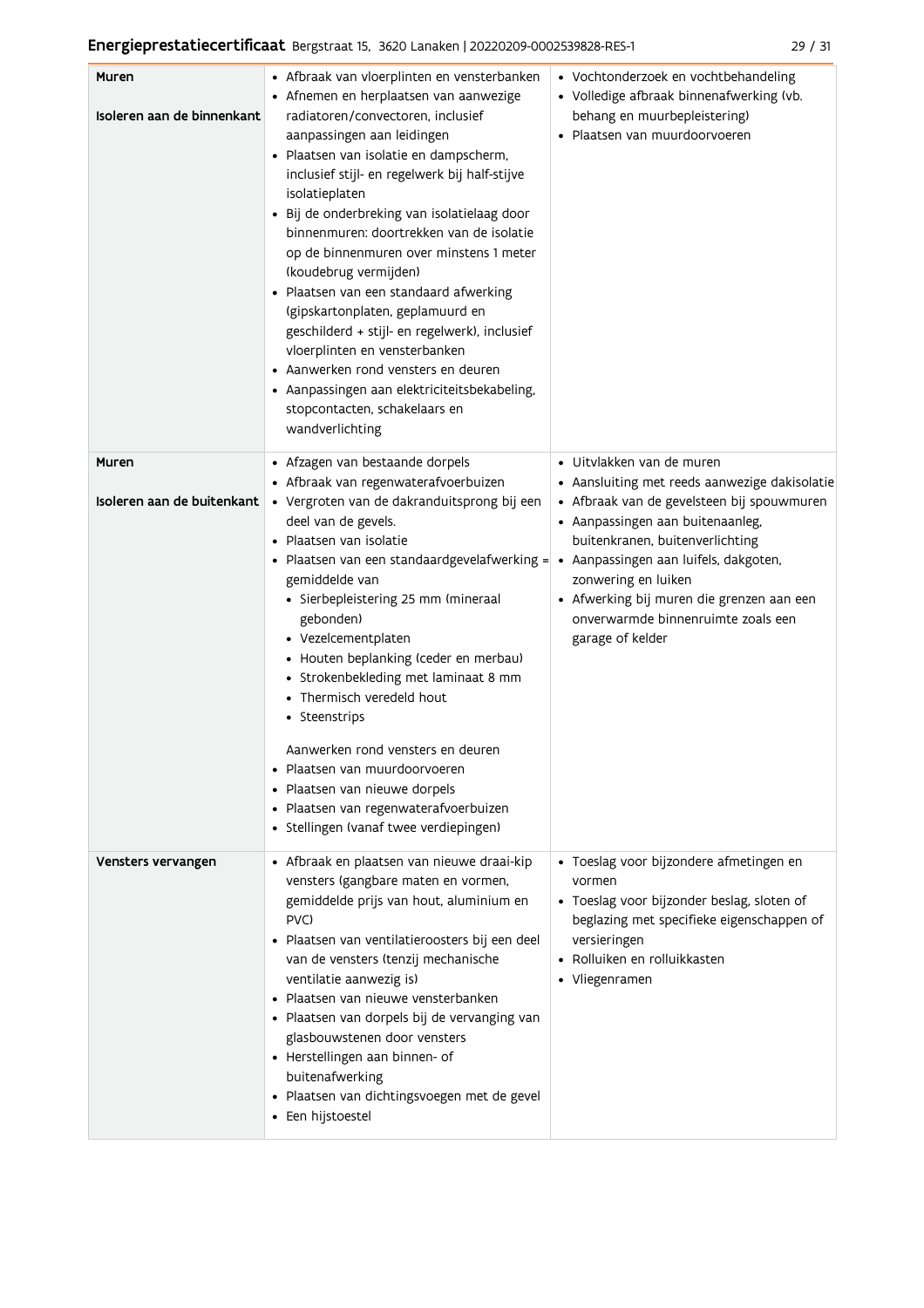| Muren<br>Isoleren aan de binnenkant | • Afbraak van vloerplinten en vensterbanken<br>• Afnemen en herplaatsen van aanwezige<br>radiatoren/convectoren, inclusief<br>aanpassingen aan leidingen<br>• Plaatsen van isolatie en dampscherm,<br>inclusief stijl- en regelwerk bij half-stijve<br>isolatieplaten<br>· Bij de onderbreking van isolatielaag door<br>binnenmuren: doortrekken van de isolatie<br>op de binnenmuren over minstens 1 meter<br>(koudebrug vermijden)<br>· Plaatsen van een standaard afwerking<br>(gipskartonplaten, geplamuurd en<br>geschilderd + stijl- en regelwerk), inclusief<br>vloerplinten en vensterbanken<br>• Aanwerken rond vensters en deuren<br>• Aanpassingen aan elektriciteitsbekabeling,<br>stopcontacten, schakelaars en<br>wandverlichting | • Vochtonderzoek en vochtbehandeling<br>• Volledige afbraak binnenafwerking (vb.<br>behang en muurbepleistering)<br>· Plaatsen van muurdoorvoeren                                                                                                                                                                                                                      |
|-------------------------------------|-------------------------------------------------------------------------------------------------------------------------------------------------------------------------------------------------------------------------------------------------------------------------------------------------------------------------------------------------------------------------------------------------------------------------------------------------------------------------------------------------------------------------------------------------------------------------------------------------------------------------------------------------------------------------------------------------------------------------------------------------|------------------------------------------------------------------------------------------------------------------------------------------------------------------------------------------------------------------------------------------------------------------------------------------------------------------------------------------------------------------------|
| Muren<br>Isoleren aan de buitenkant | • Afzagen van bestaande dorpels<br>• Afbraak van regenwaterafvoerbuizen<br>· Vergroten van de dakranduitsprong bij een<br>deel van de gevels.<br>• Plaatsen van isolatie<br>· Plaatsen van een standaardgevelafwerking =<br>gemiddelde van<br>· Sierbepleistering 25 mm (mineraal<br>gebonden)<br>• Vezelcementplaten<br>• Houten beplanking (ceder en merbau)<br>• Strokenbekleding met laminaat 8 mm<br>• Thermisch veredeld hout<br>• Steenstrips<br>Aanwerken rond vensters en deuren<br>Plaatsen van muurdoorvoeren<br>Plaatsen van nieuwe dorpels<br>· Plaatsen van regenwaterafvoerbuizen<br>· Stellingen (vanaf twee verdiepingen)                                                                                                      | · Uitvlakken van de muren<br>• Aansluiting met reeds aanwezige dakisolatie<br>· Afbraak van de gevelsteen bij spouwmuren<br>· Aanpassingen aan buitenaanleg,<br>buitenkranen, buitenverlichting<br>• Aanpassingen aan luifels, dakgoten,<br>zonwering en luiken<br>• Afwerking bij muren die grenzen aan een<br>onverwarmde binnenruimte zoals een<br>garage of kelder |
| Vensters vervangen                  | · Afbraak en plaatsen van nieuwe draai-kip<br>vensters (gangbare maten en vormen,<br>gemiddelde prijs van hout, aluminium en<br>PVC)<br>Plaatsen van ventilatieroosters bij een deel<br>$\bullet$<br>van de vensters (tenzij mechanische<br>ventilatie aanwezig is)<br>• Plaatsen van nieuwe vensterbanken<br>· Plaatsen van dorpels bij de vervanging van<br>glasbouwstenen door vensters<br>• Herstellingen aan binnen- of<br>buitenafwerking<br>· Plaatsen van dichtingsvoegen met de gevel<br>• Een hijstoestel                                                                                                                                                                                                                             | · Toeslag voor bijzondere afmetingen en<br>vormen<br>• Toeslag voor bijzonder beslag, sloten of<br>beglazing met specifieke eigenschappen of<br>versieringen<br>• Rolluiken en rolluikkasten<br>• Vliegenramen                                                                                                                                                         |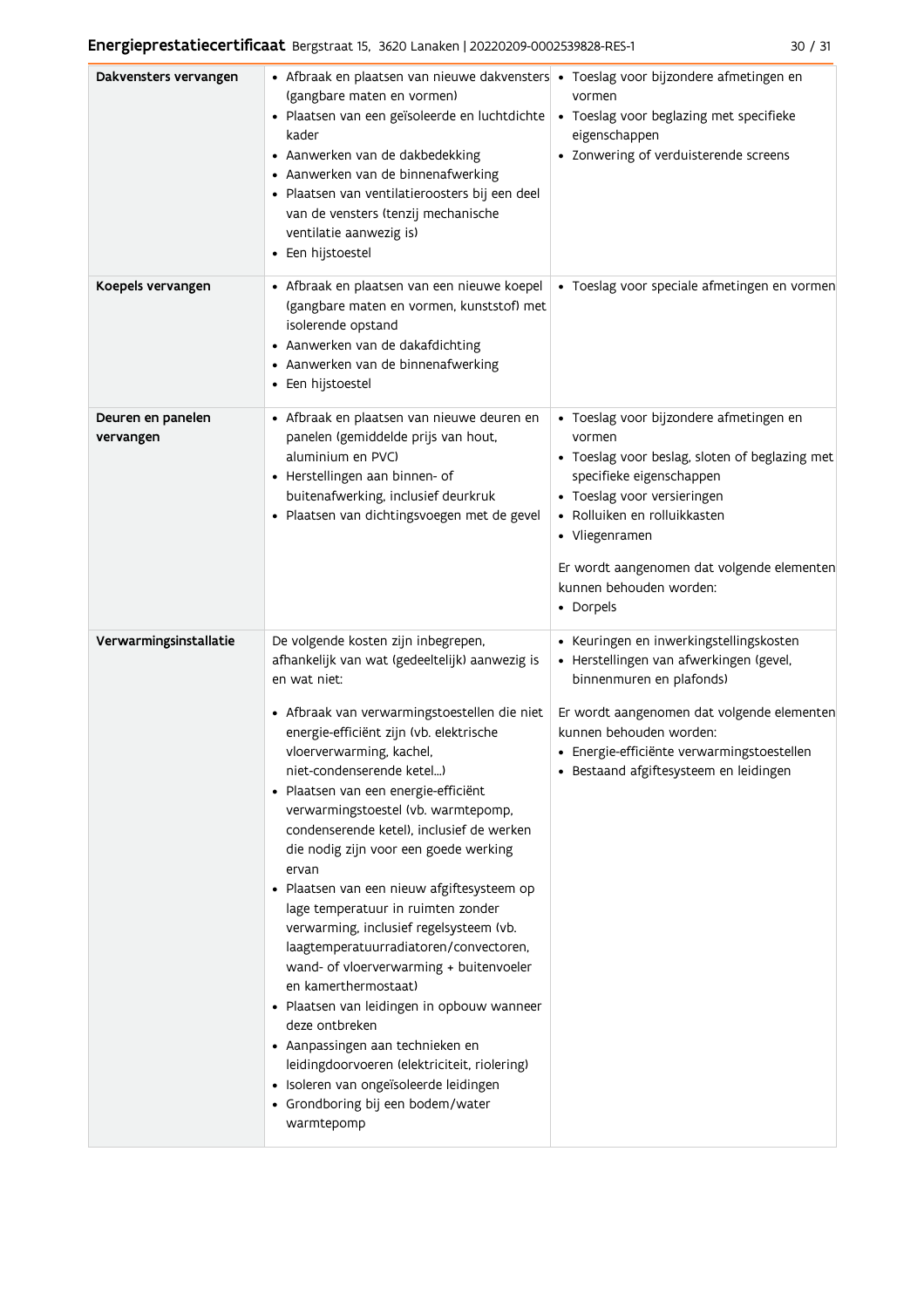| Dakvensters vervangen          | • Afbraak en plaatsen van nieuwe dakvensters • Toeslag voor bijzondere afmetingen en<br>(gangbare maten en vormen)<br>· Plaatsen van een geïsoleerde en luchtdichte<br>kader<br>• Aanwerken van de dakbedekking<br>• Aanwerken van de binnenafwerking<br>· Plaatsen van ventilatieroosters bij een deel<br>van de vensters (tenzij mechanische<br>ventilatie aanwezig is)<br>• Een hijstoestel                                                                                                                                                                                                                                                                                                                                                                                                                                                                                                                                                  | vormen<br>• Toeslag voor beglazing met specifieke<br>eigenschappen<br>• Zonwering of verduisterende screens                                                                                                                                                                                            |
|--------------------------------|-------------------------------------------------------------------------------------------------------------------------------------------------------------------------------------------------------------------------------------------------------------------------------------------------------------------------------------------------------------------------------------------------------------------------------------------------------------------------------------------------------------------------------------------------------------------------------------------------------------------------------------------------------------------------------------------------------------------------------------------------------------------------------------------------------------------------------------------------------------------------------------------------------------------------------------------------|--------------------------------------------------------------------------------------------------------------------------------------------------------------------------------------------------------------------------------------------------------------------------------------------------------|
| Koepels vervangen              | • Afbraak en plaatsen van een nieuwe koepel<br>(gangbare maten en vormen, kunststof) met<br>isolerende opstand<br>• Aanwerken van de dakafdichting<br>• Aanwerken van de binnenafwerking<br>• Een hijstoestel                                                                                                                                                                                                                                                                                                                                                                                                                                                                                                                                                                                                                                                                                                                                   | · Toeslag voor speciale afmetingen en vormen                                                                                                                                                                                                                                                           |
| Deuren en panelen<br>vervangen | • Afbraak en plaatsen van nieuwe deuren en<br>panelen (gemiddelde prijs van hout,<br>aluminium en PVC)<br>• Herstellingen aan binnen- of<br>buitenafwerking, inclusief deurkruk<br>· Plaatsen van dichtingsvoegen met de gevel                                                                                                                                                                                                                                                                                                                                                                                                                                                                                                                                                                                                                                                                                                                  | · Toeslag voor bijzondere afmetingen en<br>vormen<br>• Toeslag voor beslag, sloten of beglazing met<br>specifieke eigenschappen<br>• Toeslag voor versieringen<br>• Rolluiken en rolluikkasten<br>• Vliegenramen<br>Er wordt aangenomen dat volgende elementen<br>kunnen behouden worden:<br>• Dorpels |
| Verwarmingsinstallatie         | De volgende kosten zijn inbegrepen,<br>afhankelijk van wat (gedeeltelijk) aanwezig is<br>en wat niet:<br>· Afbraak van verwarmingstoestellen die niet<br>energie-efficiënt zijn (vb. elektrische<br>vloerverwarming, kachel,<br>niet-condenserende ketel)<br>Plaatsen van een energie-efficiënt<br>$\bullet$<br>verwarmingstoestel (vb. warmtepomp,<br>condenserende ketel), inclusief de werken<br>die nodig zijn voor een goede werking<br>ervan<br>· Plaatsen van een nieuw afgiftesysteem op<br>lage temperatuur in ruimten zonder<br>verwarming, inclusief regelsysteem (vb.<br>laagtemperatuurradiatoren/convectoren,<br>wand- of vloerverwarming + buitenvoeler<br>en kamerthermostaat)<br>· Plaatsen van leidingen in opbouw wanneer<br>deze ontbreken<br>• Aanpassingen aan technieken en<br>leidingdoorvoeren (elektriciteit, riolering)<br>· Isoleren van ongeïsoleerde leidingen<br>• Grondboring bij een bodem/water<br>warmtepomp | • Keuringen en inwerkingstellingskosten<br>· Herstellingen van afwerkingen (gevel,<br>binnenmuren en plafonds)<br>Er wordt aangenomen dat volgende elementen<br>kunnen behouden worden:<br>· Energie-efficiënte verwarmingstoestellen<br>· Bestaand afgiftesysteem en leidingen                        |